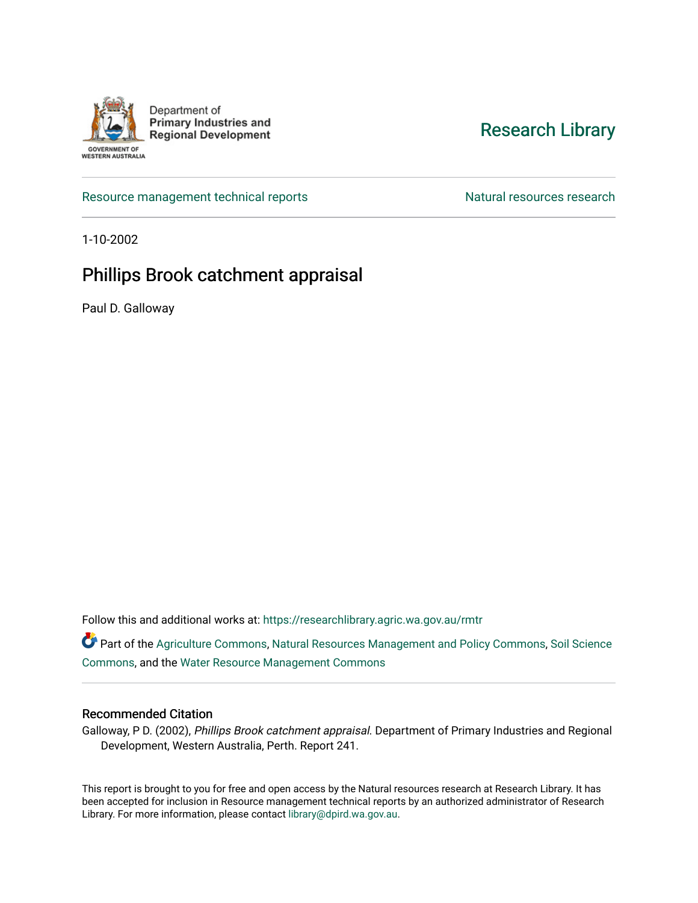

Department of **Primary Industries and Regional Development** 

## [Research Library](https://researchlibrary.agric.wa.gov.au/)

[Resource management technical reports](https://researchlibrary.agric.wa.gov.au/rmtr) Natural resources research

1-10-2002

## Phillips Brook catchment appraisal

Paul D. Galloway

Follow this and additional works at: [https://researchlibrary.agric.wa.gov.au/rmtr](https://researchlibrary.agric.wa.gov.au/rmtr?utm_source=researchlibrary.agric.wa.gov.au%2Frmtr%2F227&utm_medium=PDF&utm_campaign=PDFCoverPages) 

Part of the [Agriculture Commons](http://network.bepress.com/hgg/discipline/1076?utm_source=researchlibrary.agric.wa.gov.au%2Frmtr%2F227&utm_medium=PDF&utm_campaign=PDFCoverPages), [Natural Resources Management and Policy Commons,](http://network.bepress.com/hgg/discipline/170?utm_source=researchlibrary.agric.wa.gov.au%2Frmtr%2F227&utm_medium=PDF&utm_campaign=PDFCoverPages) Soil Science [Commons](http://network.bepress.com/hgg/discipline/163?utm_source=researchlibrary.agric.wa.gov.au%2Frmtr%2F227&utm_medium=PDF&utm_campaign=PDFCoverPages), and the [Water Resource Management Commons](http://network.bepress.com/hgg/discipline/1057?utm_source=researchlibrary.agric.wa.gov.au%2Frmtr%2F227&utm_medium=PDF&utm_campaign=PDFCoverPages)

#### Recommended Citation

Galloway, P D. (2002), Phillips Brook catchment appraisal. Department of Primary Industries and Regional Development, Western Australia, Perth. Report 241.

This report is brought to you for free and open access by the Natural resources research at Research Library. It has been accepted for inclusion in Resource management technical reports by an authorized administrator of Research Library. For more information, please contact [library@dpird.wa.gov.au.](mailto:library@dpird.wa.gov.au)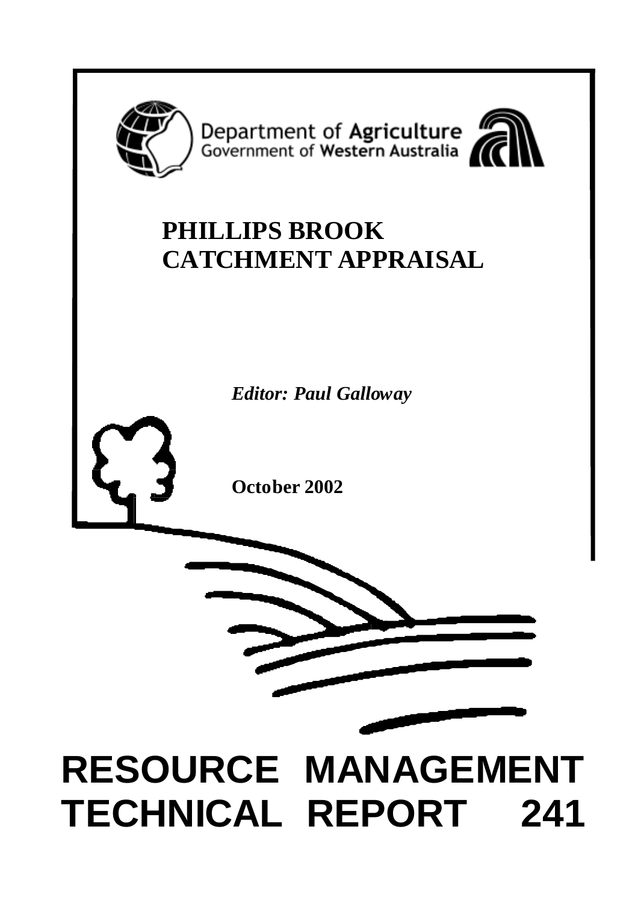

Department of Agriculture<br>Government of Western Australia



## **PHILLIPS BROOK CATCHMENT APPRAISAL**

*Editor: Paul Galloway*

**October 2002**



# **RESOURCE MANAGEMENT TECHNICAL REPORT 241**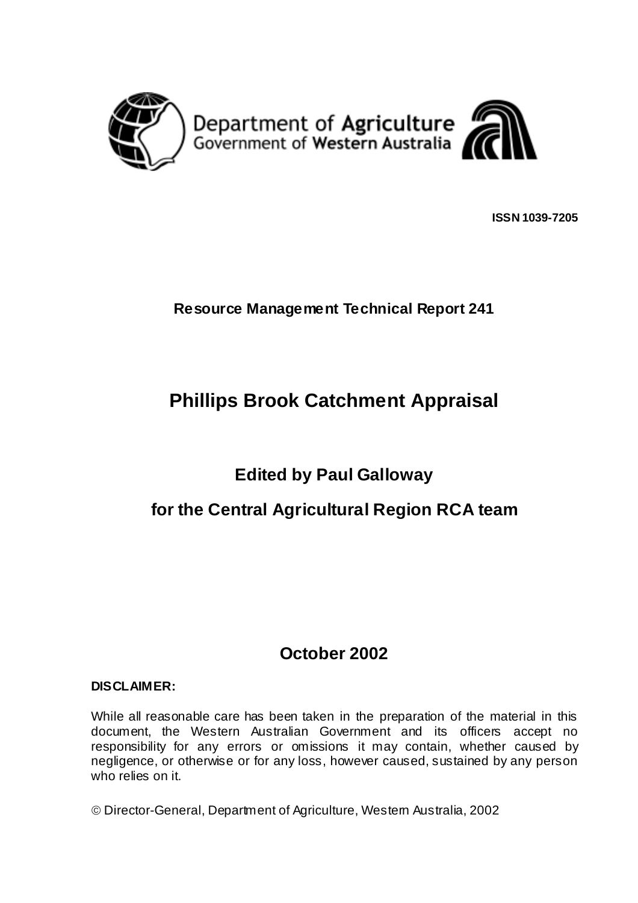

**ISSN 1039-7205**

#### **Resource Management Technical Report 241**

## **Phillips Brook Catchment Appraisal**

## **Edited by Paul Galloway**

## **for the Central Agricultural Region RCA team**

## **October 2002**

#### **DISCLAIMER:**

While all reasonable care has been taken in the preparation of the material in this document, the Western Australian Government and its officers accept no responsibility for any errors or omissions it may contain, whether caused by negligence, or otherwise or for any loss, however caused, sustained by any person who relies on it.

Director-General, Department of Agriculture, Western Australia, 2002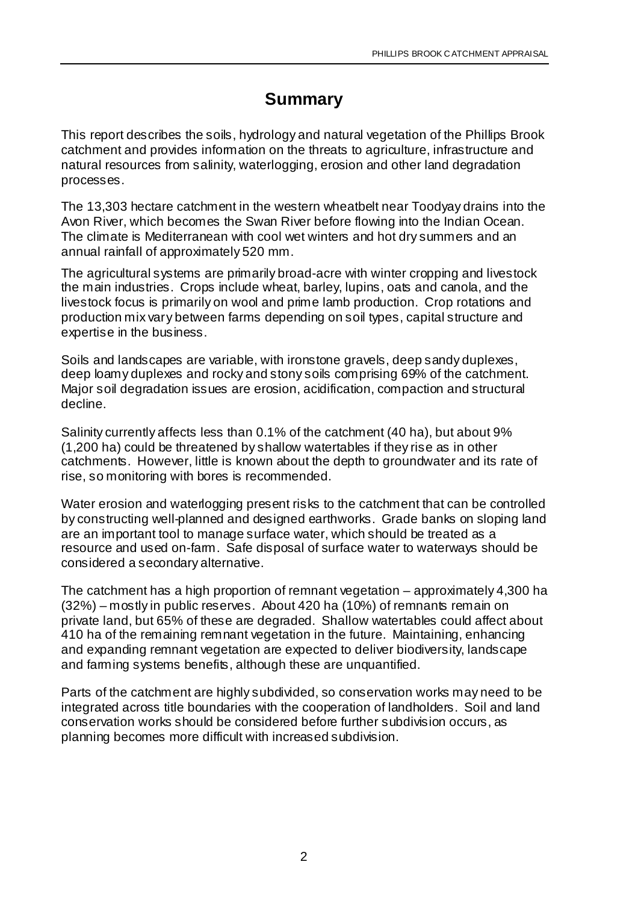## **Summary**

This report describes the soils, hydrology and natural vegetation of the Phillips Brook catchment and provides information on the threats to agriculture, infrastructure and natural resources from salinity, waterlogging, erosion and other land degradation processes.

The 13,303 hectare catchment in the western wheatbelt near Toodyay drains into the Avon River, which becomes the Swan River before flowing into the Indian Ocean. The climate is Mediterranean with cool wet winters and hot dry summers and an annual rainfall of approximately 520 mm.

The agricultural systems are primarily broad-acre with winter cropping and livestock the main industries. Crops include wheat, barley, lupins, oats and canola, and the livestock focus is primarily on wool and prime lamb production. Crop rotations and production mix vary between farms depending on soil types, capital structure and expertise in the business.

Soils and landscapes are variable, with ironstone gravels, deep sandy duplexes, deep loamy duplexes and rocky and stony soils comprising 69% of the catchment. Major soil degradation issues are erosion, acidification, compaction and structural decline.

Salinity currently affects less than 0.1% of the catchment (40 ha), but about 9% (1,200 ha) could be threatened by shallow watertables if they rise as in other catchments. However, little is known about the depth to groundwater and its rate of rise, so monitoring with bores is recommended.

Water erosion and waterlogging present risks to the catchment that can be controlled by constructing well-planned and designed earthworks. Grade banks on sloping land are an important tool to manage surface water, which should be treated as a resource and used on-farm. Safe disposal of surface water to waterways should be considered a secondary alternative.

The catchment has a high proportion of remnant vegetation – approximately 4,300 ha (32%) – mostly in public reserves. About 420 ha (10%) of remnants remain on private land, but 65% of these are degraded. Shallow watertables could affect about 410 ha of the remaining remnant vegetation in the future. Maintaining, enhancing and expanding remnant vegetation are expected to deliver biodiversity, landscape and farming systems benefits, although these are unquantified.

Parts of the catchment are highly subdivided, so conservation works may need to be integrated across title boundaries with the cooperation of landholders. Soil and land conservation works should be considered before further subdivision occurs, as planning becomes more difficult with increased subdivision.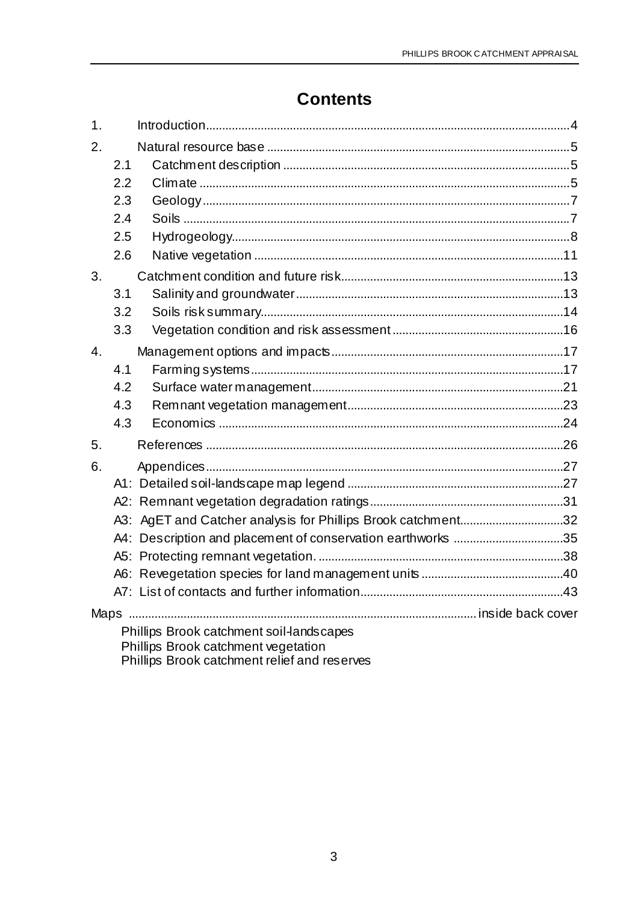## **Contents**

| 1 <sub>1</sub> |                                              |                                                              |  |  |  |  |  |
|----------------|----------------------------------------------|--------------------------------------------------------------|--|--|--|--|--|
| 2.             |                                              |                                                              |  |  |  |  |  |
|                | 2.1                                          |                                                              |  |  |  |  |  |
|                | 2.2                                          |                                                              |  |  |  |  |  |
|                | 2.3                                          |                                                              |  |  |  |  |  |
|                | 2.4                                          |                                                              |  |  |  |  |  |
|                | 2.5                                          |                                                              |  |  |  |  |  |
|                | 2.6                                          |                                                              |  |  |  |  |  |
| 3.             |                                              |                                                              |  |  |  |  |  |
|                | 3.1                                          |                                                              |  |  |  |  |  |
|                | 3.2                                          |                                                              |  |  |  |  |  |
|                | 3.3                                          |                                                              |  |  |  |  |  |
| 4.             |                                              |                                                              |  |  |  |  |  |
|                | 4.1                                          |                                                              |  |  |  |  |  |
|                | 4.2                                          |                                                              |  |  |  |  |  |
|                | 4.3                                          |                                                              |  |  |  |  |  |
|                | 4.3                                          |                                                              |  |  |  |  |  |
| 5.             |                                              |                                                              |  |  |  |  |  |
| 6.             |                                              |                                                              |  |  |  |  |  |
|                |                                              |                                                              |  |  |  |  |  |
|                |                                              |                                                              |  |  |  |  |  |
|                |                                              | A3: AgET and Catcher analysis for Phillips Brook catchment32 |  |  |  |  |  |
|                |                                              | A4: Description and placement of conservation earthworks 35  |  |  |  |  |  |
|                |                                              |                                                              |  |  |  |  |  |
|                |                                              |                                                              |  |  |  |  |  |
|                |                                              |                                                              |  |  |  |  |  |
|                |                                              |                                                              |  |  |  |  |  |
|                |                                              | Phillips Brook catchment soil-lands capes                    |  |  |  |  |  |
|                |                                              | Phillips Brook catchment vegetation                          |  |  |  |  |  |
|                | Phillips Brook catchment relief and reserves |                                                              |  |  |  |  |  |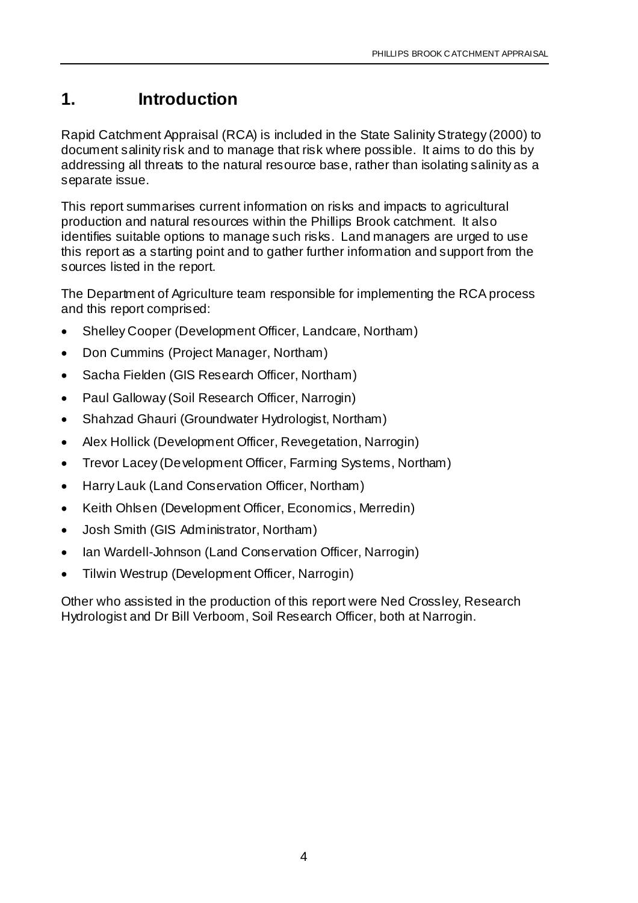## **1. Introduction**

Rapid Catchment Appraisal (RCA) is included in the State Salinity Strategy (2000) to document salinity risk and to manage that risk where possible. It aims to do this by addressing all threats to the natural resource base, rather than isolating salinity as a separate issue.

This report summarises current information on risks and impacts to agricultural production and natural resources within the Phillips Brook catchment. It also identifies suitable options to manage such risks. Land managers are urged to use this report as a starting point and to gather further information and support from the sources listed in the report.

The Department of Agriculture team responsible for implementing the RCA process and this report comprised:

- Shelley Cooper (Development Officer, Landcare, Northam)
- Don Cummins (Project Manager, Northam)
- Sacha Fielden (GIS Research Officer, Northam)
- Paul Galloway (Soil Research Officer, Narrogin)
- Shahzad Ghauri (Groundwater Hydrologist, Northam)
- Alex Hollick (Development Officer, Revegetation, Narrogin)
- Trevor Lacey (Development Officer, Farming Systems, Northam)
- Harry Lauk (Land Conservation Officer, Northam)
- Keith Ohlsen (Development Officer, Economics, Merredin)
- Josh Smith (GIS Administrator, Northam)
- Ian Wardell-Johnson (Land Conservation Officer, Narrogin)
- Tilwin Westrup (Development Officer, Narrogin)

Other who assisted in the production of this report were Ned Crossley, Research Hydrologist and Dr Bill Verboom, Soil Research Officer, both at Narrogin.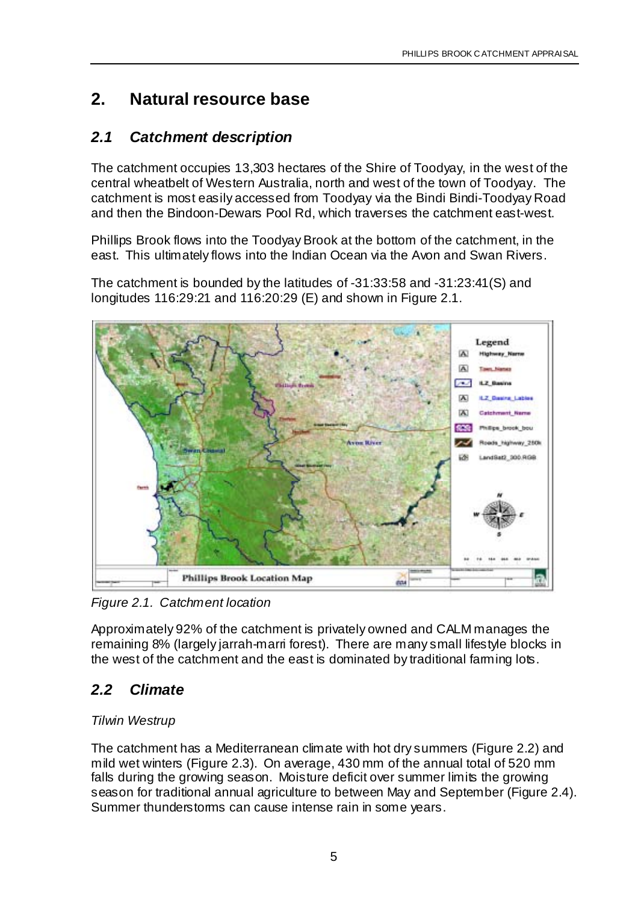## **2. Natural resource base**

## *2.1 Catchment description*

The catchment occupies 13,303 hectares of the Shire of Toodyay, in the west of the central wheatbelt of Western Australia, north and west of the town of Toodyay. The catchment is most easily accessed from Toodyay via the Bindi Bindi-Toodyay Road and then the Bindoon-Dewars Pool Rd, which traverses the catchment east-west.

Phillips Brook flows into the Toodyay Brook at the bottom of the catchment, in the east. This ultimately flows into the Indian Ocean via the Avon and Swan Rivers.

The catchment is bounded by the latitudes of -31:33:58 and -31:23:41(S) and longitudes 116:29:21 and 116:20:29 (E) and shown in Figure 2.1.



*Figure 2.1. Catchment location*

Approximately 92% of the catchment is privately owned and CALM manages the remaining 8% (largely jarrah-marri forest). There are many small lifestyle blocks in the west of the catchment and the east is dominated by traditional farming lots.

## *2.2 Climate*

#### *Tilwin Westrup*

The catchment has a Mediterranean climate with hot dry summers (Figure 2.2) and mild wet winters (Figure 2.3). On average, 430 mm of the annual total of 520 mm falls during the growing season. Moisture deficit over summer limits the growing season for traditional annual agriculture to between May and September (Figure 2.4). Summer thunderstorms can cause intense rain in some years.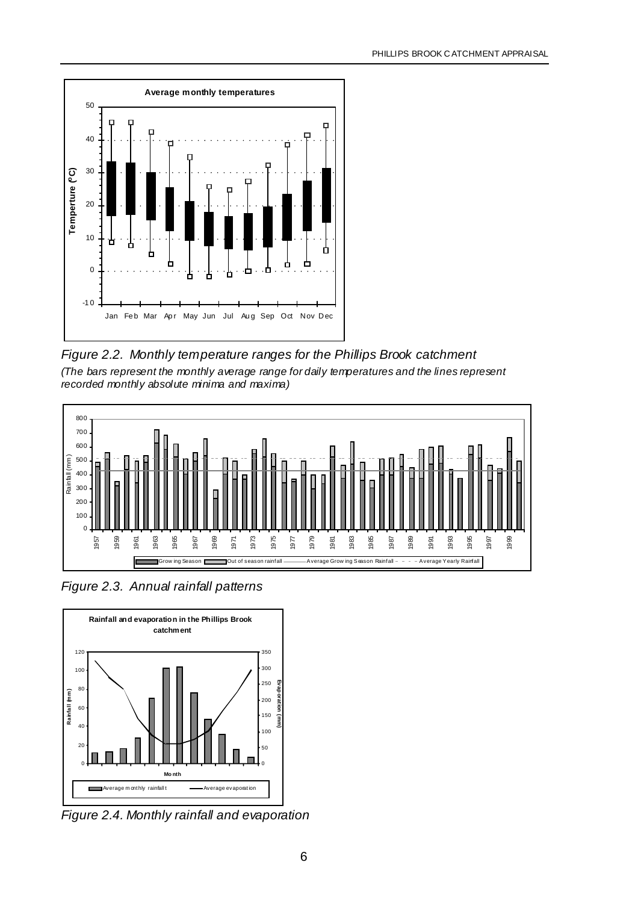

*Figure 2.2. Monthly temperature ranges for the Phillips Brook catchment (The bars represent the monthly average range for daily temperatures and the lines represent recorded monthly absolute minima and maxima)*



*Figure 2.3. Annual rainfall patterns*



*Figure 2.4. Monthly rainfall and evaporation*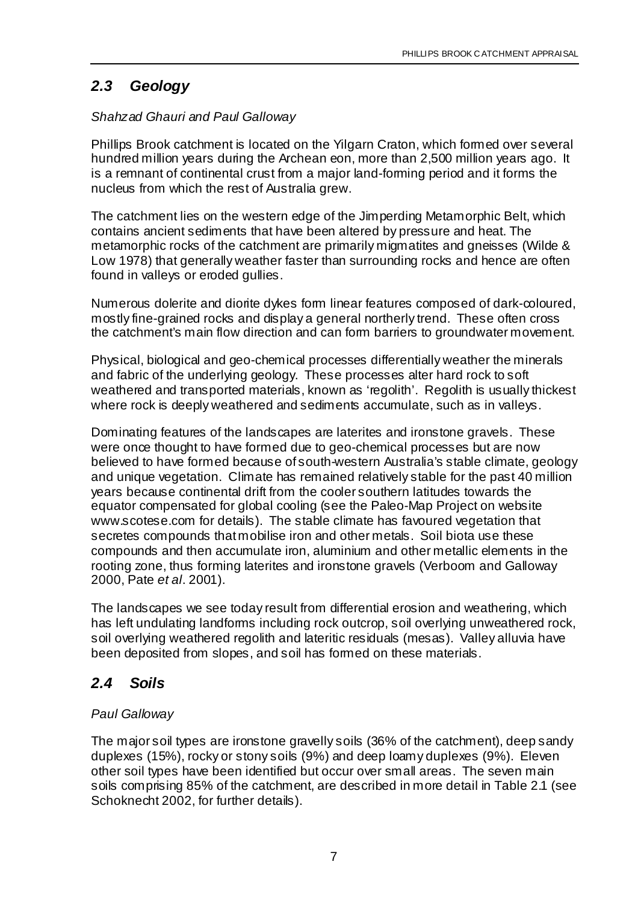## *2.3 Geology*

#### *Shahzad Ghauri and Paul Galloway*

Phillips Brook catchment is located on the Yilgarn Craton, which formed over several hundred million years during the Archean eon, more than 2,500 million years ago. It is a remnant of continental crust from a major land-forming period and it forms the nucleus from which the rest of Australia grew.

The catchment lies on the western edge of the Jimperding Metamorphic Belt, which contains ancient sediments that have been altered by pressure and heat. The metamorphic rocks of the catchment are primarily migmatites and gneisses (Wilde & Low 1978) that generally weather faster than surrounding rocks and hence are often found in valleys or eroded gullies.

Numerous dolerite and diorite dykes form linear features composed of dark-coloured, mostly fine-grained rocks and display a general northerly trend. These often cross the catchment's main flow direction and can form barriers to groundwater movement.

Physical, biological and geo-chemical processes differentially weather the minerals and fabric of the underlying geology. These processes alter hard rock to soft weathered and transported materials, known as 'regolith'. Regolith is usually thickest where rock is deeply weathered and sediments accumulate, such as in valleys.

Dominating features of the landscapes are laterites and ironstone gravels. These were once thought to have formed due to geo-chemical processes but are now believed to have formed because of south-western Australia's stable climate, geology and unique vegetation. Climate has remained relatively stable for the past 40 million years because continental drift from the cooler southern latitudes towards the equator compensated for global cooling (see the Paleo-Map Project on website www.scotese.com for details). The stable climate has favoured vegetation that secretes compounds that mobilise iron and other metals. Soil biota use these compounds and then accumulate iron, aluminium and other metallic elements in the rooting zone, thus forming laterites and ironstone gravels (Verboom and Galloway 2000, Pate *et al*. 2001).

The landscapes we see today result from differential erosion and weathering, which has left undulating landforms including rock outcrop, soil overlying unweathered rock, soil overlying weathered regolith and lateritic residuals (mesas). Valley alluvia have been deposited from slopes, and soil has formed on these materials.

## *2.4 Soils*

#### *Paul Galloway*

The major soil types are ironstone gravelly soils (36% of the catchment), deep sandy duplexes (15%), rocky or stony soils (9%) and deep loamy duplexes (9%). Eleven other soil types have been identified but occur over small areas. The seven main soils comprising 85% of the catchment, are described in more detail in Table 2.1 (see Schoknecht 2002, for further details).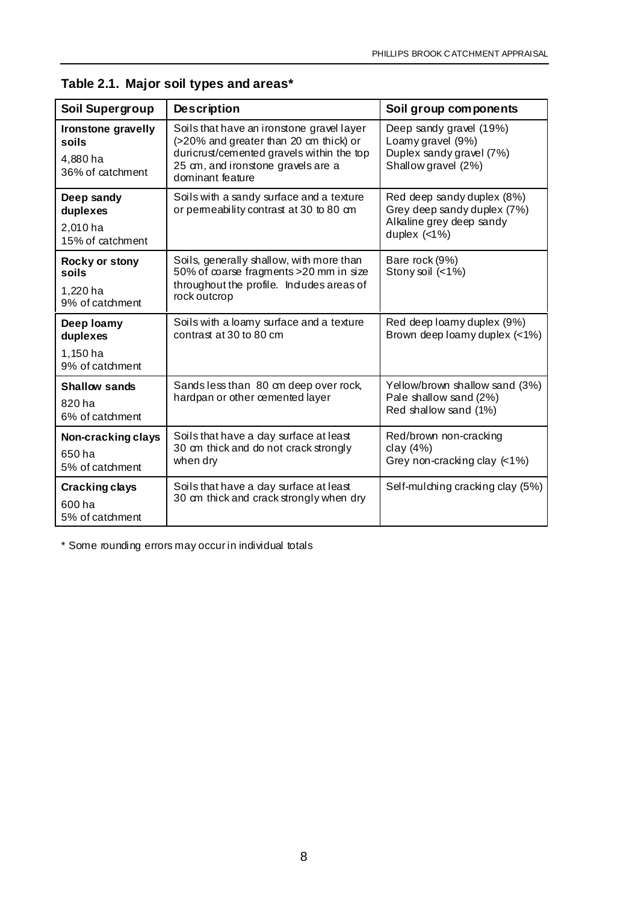| Soil Supergroup                                             | <b>Description</b>                                                                                                                                                                         | Soil group components                                                                                   |
|-------------------------------------------------------------|--------------------------------------------------------------------------------------------------------------------------------------------------------------------------------------------|---------------------------------------------------------------------------------------------------------|
| Ironstone gravelly<br>soils<br>4,880 ha<br>36% of catchment | Soils that have an ironstone gravel layer<br>(>20% and greater than 20 cm thick) or<br>duricrust/cemented gravels within the top<br>25 cm, and ironstone gravels are a<br>dominant feature | Deep sandy gravel (19%)<br>Loamy gravel (9%)<br>Duplex sandy gravel (7%)<br>Shallow gravel (2%)         |
| Deep sandy<br>duplexes<br>2,010 ha<br>15% of catchment      | Soils with a sandy surface and a texture<br>or permeability contrast at 30 to 80 cm                                                                                                        | Red deep sandy duplex (8%)<br>Grey deep sandy duplex (7%)<br>Alkaline grey deep sandy<br>duplex $(<1%)$ |
| Rocky or stony<br>soils<br>1,220 ha<br>9% of catchment      | Soils, generally shallow, with more than<br>50% of coarse fragments > 20 mm in size<br>throughout the profile. Indudes areas of<br>rock outcrop                                            | Bare rock (9%)<br>Stony soil (<1%)                                                                      |
| Deep loamy<br>duplexes<br>1,150 ha<br>9% of catchment       | Soils with a loamy surface and a texture<br>contrast at 30 to 80 cm                                                                                                                        | Red deep loamy duplex (9%)<br>Brown deep loamy duplex (<1%)                                             |
| <b>Shallow sands</b><br>820 ha<br>6% of catchment           | Sands less than 80 cm deep over rock,<br>hardpan or other cemented layer                                                                                                                   | Yellow/brown shallow sand (3%)<br>Pale shallow sand (2%)<br>Red shallow sand (1%)                       |
| Non-cracking clays<br>650 ha<br>5% of catchment             | Soils that have a day surface at least<br>30 cm thick and do not crack strongly<br>when dry                                                                                                | Red/brown non-cracking<br>clay (4%)<br>Grey non-cracking clay $($ <1%)                                  |
| <b>Cracking clays</b><br>600 ha<br>5% of catchment          | Soils that have a day surface at least<br>30 cm thick and crack strongly when dry                                                                                                          | Self-mulching cracking clay (5%)                                                                        |

**Table 2.1. Major soil types and areas\***

\* Some rounding errors may occur in individual totals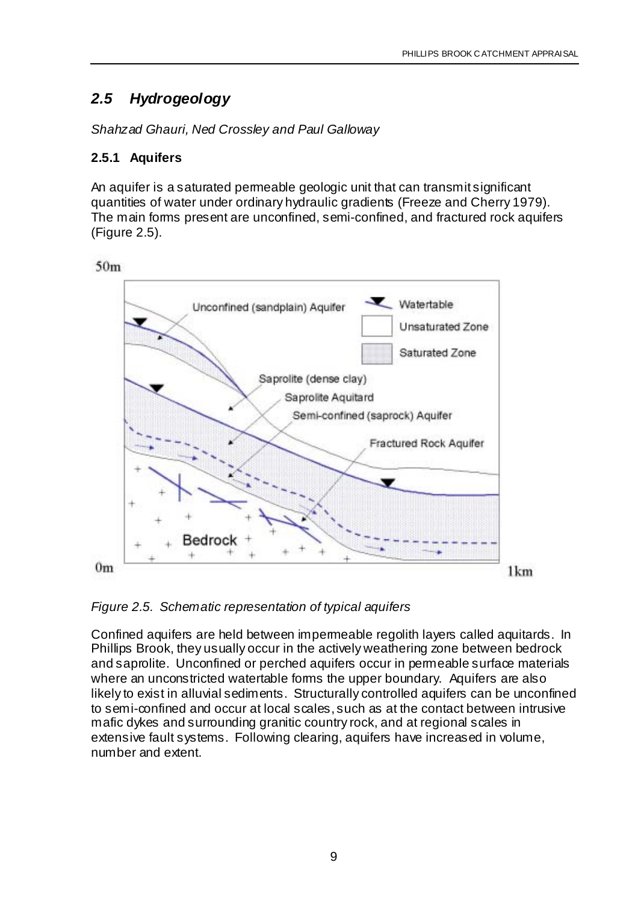## *2.5 Hydrogeology*

*Shahzad Ghauri, Ned Crossley and Paul Galloway*

#### **2.5.1 Aquifers**

An aquifer is a saturated permeable geologic unit that can transmit significant quantities of water under ordinary hydraulic gradients (Freeze and Cherry 1979). The main forms present are unconfined, semi-confined, and fractured rock aquifers (Figure 2.5).





*Figure 2.5. Schematic representation of typical aquifers*

Confined aquifers are held between impermeable regolith layers called aquitards. In Phillips Brook, they usually occur in the actively weathering zone between bedrock and saprolite. Unconfined or perched aquifers occur in permeable surface materials where an unconstricted watertable forms the upper boundary. Aquifers are also likely to exist in alluvial sediments. Structurally controlled aquifers can be unconfined to semi-confined and occur at local scales, such as at the contact between intrusive mafic dykes and surrounding granitic country rock, and at regional scales in extensive fault systems. Following clearing, aquifers have increased in volume, number and extent.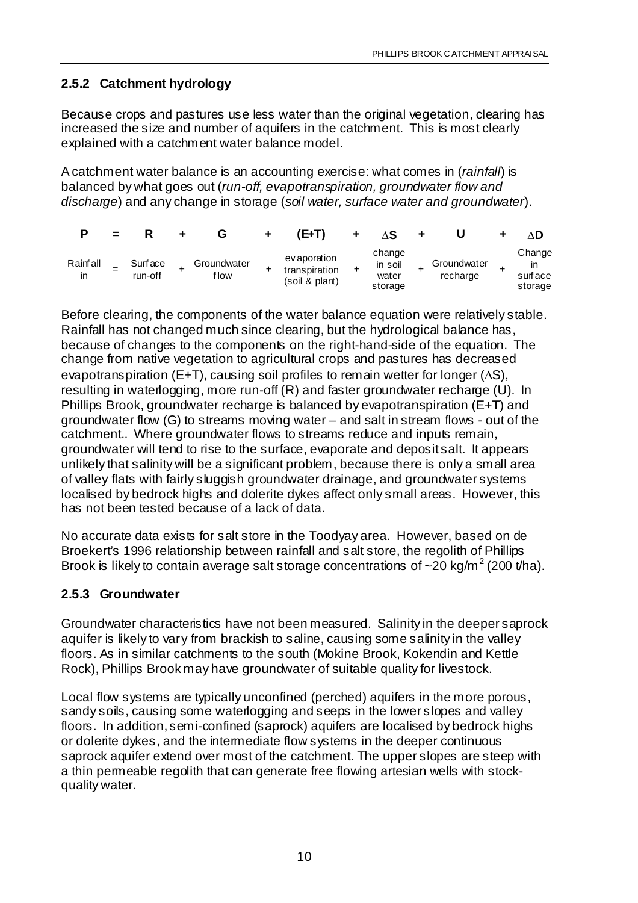#### **2.5.2 Catchment hydrology**

Because crops and pastures use less water than the original vegetation, clearing has increased the size and number of aquifers in the catchment. This is most clearly explained with a catchment water balance model.

A catchment water balance is an accounting exercise: what comes in (*rainfall*) is balanced by what goes out (*run-off, evapotranspiration, groundwater flow and discharge*) and any change in storage (*soil water, surface water and groundwater*).

|                | $=$ |                    |                      | 'E+T)                                           |   |                                       |                         | ۸D                                 |
|----------------|-----|--------------------|----------------------|-------------------------------------------------|---|---------------------------------------|-------------------------|------------------------------------|
| Rainfall<br>ın |     | Surface<br>run-off | Groundwater<br>f low | ev aporation<br>transpiration<br>(soil & plant) | ÷ | change<br>in soil<br>water<br>storage | Groundwater<br>recharge | Change<br>ın<br>surface<br>storage |

Before clearing, the components of the water balance equation were relatively stable. Rainfall has not changed much since clearing, but the hydrological balance has, because of changes to the components on the right-hand-side of the equation. The change from native vegetation to agricultural crops and pastures has decreased evapotranspiration (E+T), causing soil profiles to remain wetter for longer (∆S), resulting in waterlogging, more run-off (R) and faster groundwater recharge (U). In Phillips Brook, groundwater recharge is balanced by evapotranspiration (E+T) and groundwater flow (G) to streams moving water – and salt in stream flows - out of the catchment.. Where groundwater flows to streams reduce and inputs remain, groundwater will tend to rise to the surface, evaporate and deposit salt. It appears unlikely that salinity will be a significant problem, because there is only a small area of valley flats with fairly sluggish groundwater drainage, and groundwater systems localised by bedrock highs and dolerite dykes affect only small areas. However, this has not been tested because of a lack of data.

No accurate data exists for salt store in the Toodyay area. However, based on de Broekert's 1996 relationship between rainfall and salt store, the regolith of Phillips Brook is likely to contain average salt storage concentrations of  $\sim$ 20 kg/m<sup>2</sup> (200 t/ha).

#### **2.5.3 Groundwater**

Groundwater characteristics have not been measured. Salinity in the deeper saprock aquifer is likely to vary from brackish to saline, causing some salinity in the valley floors. As in similar catchments to the south (Mokine Brook, Kokendin and Kettle Rock), Phillips Brook may have groundwater of suitable quality for livestock.

Local flow systems are typically unconfined (perched) aquifers in the more porous, sandy soils, causing some waterlogging and seeps in the lower slopes and valley floors. In addition, semi-confined (saprock) aquifers are localised by bedrock highs or dolerite dykes, and the intermediate flow systems in the deeper continuous saprock aquifer extend over most of the catchment. The upper slopes are steep with a thin permeable regolith that can generate free flowing artesian wells with stockquality water.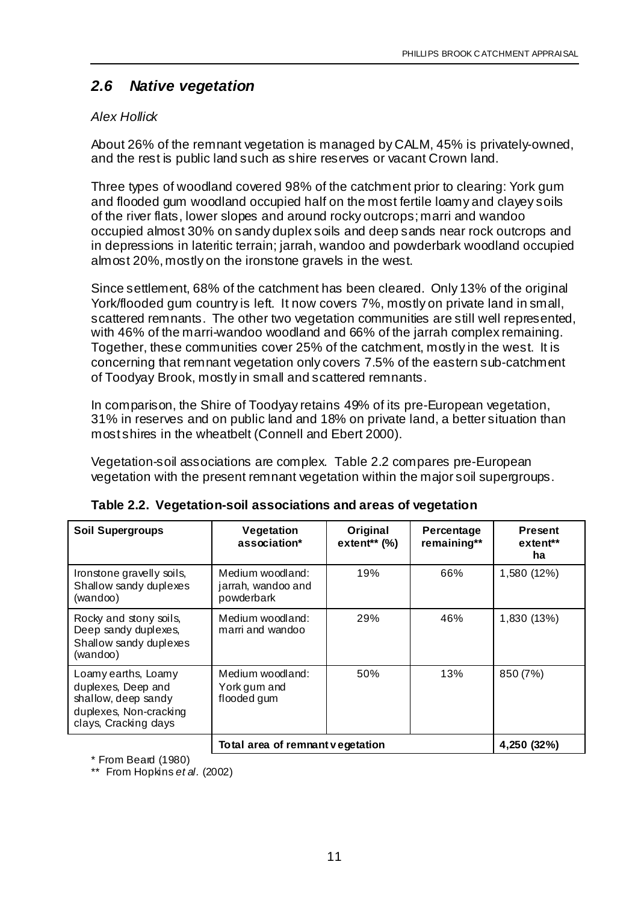## *2.6 Native vegetation*

#### *Alex Hollick*

About 26% of the remnant vegetation is managed by CALM, 45% is privately-owned, and the rest is public land such as shire reserves or vacant Crown land.

Three types of woodland covered 98% of the catchment prior to clearing: York gum and flooded gum woodland occupied half on the most fertile loamy and clayey soils of the river flats, lower slopes and around rocky outcrops; marri and wandoo occupied almost 30% on sandy duplex soils and deep sands near rock outcrops and in depressions in lateritic terrain; jarrah, wandoo and powderbark woodland occupied almost 20%, mostly on the ironstone gravels in the west.

Since settlement, 68% of the catchment has been cleared. Only 13% of the original York/flooded gum country is left. It now covers 7%, mostly on private land in small, scattered remnants. The other two vegetation communities are still well represented, with 46% of the marri-wandoo woodland and 66% of the jarrah complex remaining. Together, these communities cover 25% of the catchment, mostly in the west. It is concerning that remnant vegetation only covers 7.5% of the eastern sub-catchment of Toodyay Brook, mostly in small and scattered remnants.

In comparison, the Shire of Toodyay retains 49% of its pre-European vegetation, 31% in reserves and on public land and 18% on private land, a better situation than most shires in the wheatbelt (Connell and Ebert 2000).

Vegetation-soil associations are complex. Table 2.2 compares pre-European vegetation with the present remnant vegetation within the major soil supergroups.

| <b>Soil Supergroups</b>                                                                                            | Vegetation<br>association*                           | Original<br>extent <sup>**</sup> $(\%)$ | Percentage<br>remaining** | <b>Present</b><br>extent**<br>ha |
|--------------------------------------------------------------------------------------------------------------------|------------------------------------------------------|-----------------------------------------|---------------------------|----------------------------------|
| Ironstone gravelly soils,<br>Shallow sandy duplexes<br>(wandoo)                                                    | Medium woodland:<br>jarrah, wandoo and<br>powderbark | 19%                                     | 66%                       | 1,580 (12%)                      |
| Rocky and stony soils,<br>Deep sandy duplexes,<br>Shallow sandy duplexes<br>(wandoo)                               | Medium woodland:<br>marri and wandoo                 | 29%                                     | 46%                       | 1,830 (13%)                      |
| Loamy earths, Loamy<br>duplexes, Deep and<br>shallow, deep sandy<br>duplexes, Non-cracking<br>clays, Cracking days | Medium woodland:<br>York gum and<br>flooded gum      | 50%                                     | 13%                       | 850 (7%)                         |
|                                                                                                                    | Total area of remnant vegetation                     |                                         |                           | 4,250 (32%)                      |

| Table 2.2. Vegetation-soil associations and areas of vegetation |  |  |  |  |  |
|-----------------------------------------------------------------|--|--|--|--|--|
|-----------------------------------------------------------------|--|--|--|--|--|

\* From Beard (1980)

\*\* From Hopkins *et al.* (2002)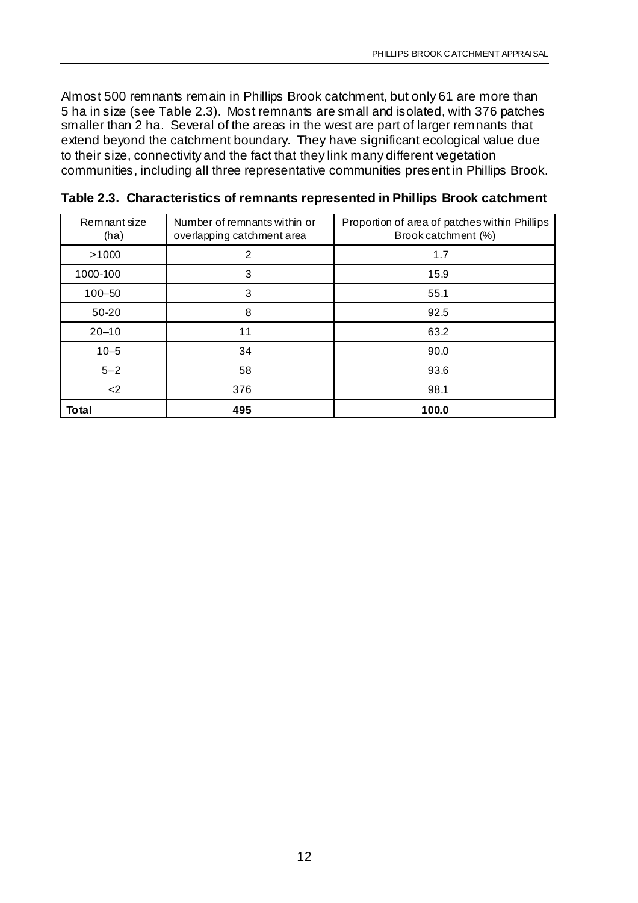Almost 500 remnants remain in Phillips Brook catchment, but only 61 are more than 5 ha in size (see Table 2.3). Most remnants are small and isolated, with 376 patches smaller than 2 ha. Several of the areas in the west are part of larger remnants that extend beyond the catchment boundary. They have significant ecological value due to their size, connectivity and the fact that they link many different vegetation communities, including all three representative communities present in Phillips Brook.

| Remnant size<br>(ha) | Number of remnants within or<br>overlapping catchment area | Proportion of area of patches within Phillips<br>Brook catchment (%) |
|----------------------|------------------------------------------------------------|----------------------------------------------------------------------|
| >1000                | 2                                                          | 1.7                                                                  |
| 1000-100             | 3                                                          | 15.9                                                                 |
| $100 - 50$           | 3                                                          | 55.1                                                                 |
| 50-20                | 8                                                          | 92.5                                                                 |
| $20 - 10$            | 11                                                         | 63.2                                                                 |
| $10 - 5$             | 34                                                         | 90.0                                                                 |
| $5 - 2$              | 58                                                         | 93.6                                                                 |
| $<$ 2                | 376                                                        | 98.1                                                                 |
| Total                | 495                                                        | 100.0                                                                |

**Table 2.3. Characteristics of remnants represented in Phillips Brook catchment**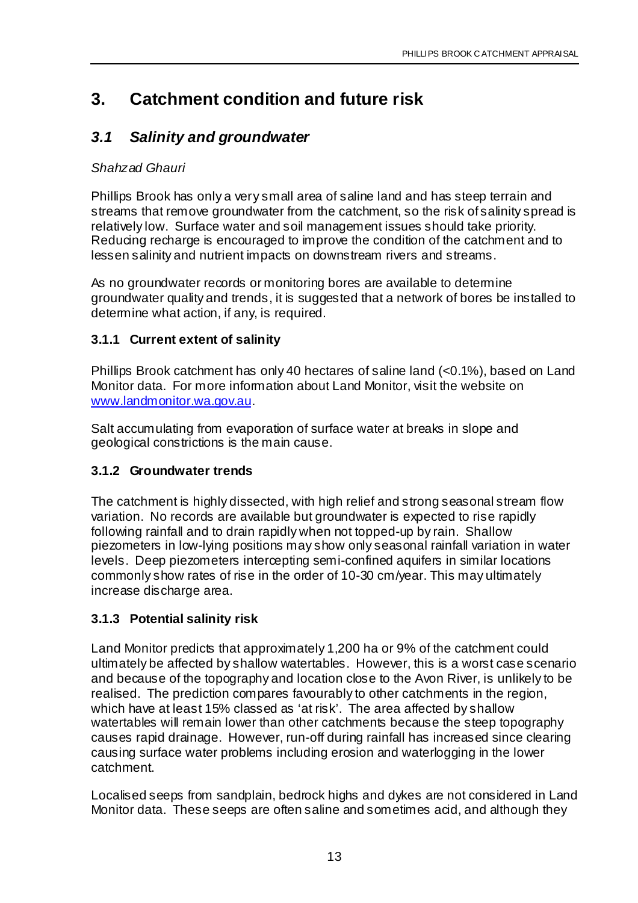## **3. Catchment condition and future risk**

## *3.1 Salinity and groundwater*

#### *Shahzad Ghauri*

Phillips Brook has only a very small area of saline land and has steep terrain and streams that remove groundwater from the catchment, so the risk of salinity spread is relatively low. Surface water and soil management issues should take priority. Reducing recharge is encouraged to improve the condition of the catchment and to lessen salinity and nutrient impacts on downstream rivers and streams.

As no groundwater records or monitoring bores are available to determine groundwater quality and trends, it is suggested that a network of bores be installed to determine what action, if any, is required.

#### **3.1.1 Current extent of salinity**

Phillips Brook catchment has only 40 hectares of saline land (<0.1%), based on Land Monitor data. For more information about Land Monitor, visit the website on www.landmonitor.wa.gov.au.

Salt accumulating from evaporation of surface water at breaks in slope and geological constrictions is the main cause.

#### **3.1.2 Groundwater trends**

The catchment is highly dissected, with high relief and strong seasonal stream flow variation. No records are available but groundwater is expected to rise rapidly following rainfall and to drain rapidly when not topped-up by rain. Shallow piezometers in low-lying positions may show only seasonal rainfall variation in water levels. Deep piezometers intercepting semi-confined aquifers in similar locations commonly show rates of rise in the order of 10-30 cm/year. This may ultimately increase discharge area.

#### **3.1.3 Potential salinity risk**

Land Monitor predicts that approximately 1,200 ha or 9% of the catchment could ultimately be affected by shallow watertables. However, this is a worst case scenario and because of the topography and location close to the Avon River, is unlikely to be realised. The prediction compares favourably to other catchments in the region, which have at least 15% classed as 'at risk'. The area affected by shallow watertables will remain lower than other catchments because the steep topography causes rapid drainage. However, run-off during rainfall has increased since clearing causing surface water problems including erosion and waterlogging in the lower catchment.

Localised seeps from sandplain, bedrock highs and dykes are not considered in Land Monitor data. These seeps are often saline and sometimes acid, and although they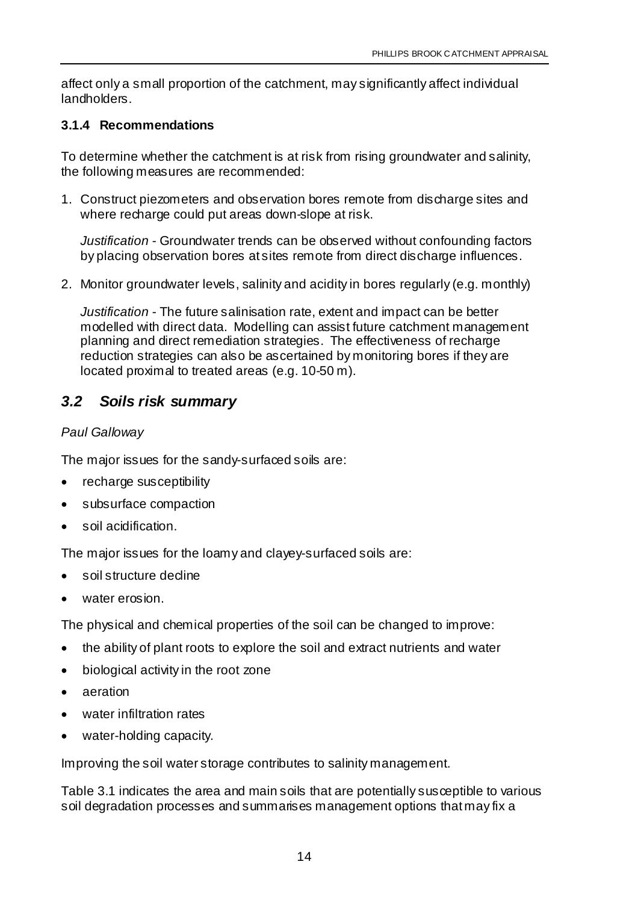affect only a small proportion of the catchment, may significantly affect individual landholders.

#### **3.1.4 Recommendations**

To determine whether the catchment is at risk from rising groundwater and salinity, the following measures are recommended:

1. Construct piezometers and observation bores remote from discharge sites and where recharge could put areas down-slope at risk.

*Justification* - Groundwater trends can be observed without confounding factors by placing observation bores at sites remote from direct discharge influences.

2. Monitor groundwater levels, salinity and acidity in bores regularly (e.g. monthly)

*Justification* - The future salinisation rate, extent and impact can be better modelled with direct data. Modelling can assist future catchment management planning and direct remediation strategies. The effectiveness of recharge reduction strategies can also be ascertained by monitoring bores if they are located proximal to treated areas (e.g. 10-50 m).

## *3.2 Soils risk summary*

#### *Paul Galloway*

The major issues for the sandy-surfaced soils are:

- recharge susceptibility
- subsurface compaction
- soil acidification.

The major issues for the loamy and clayey-surfaced soils are:

- soil structure decline
- water erosion.

The physical and chemical properties of the soil can be changed to improve:

- the ability of plant roots to explore the soil and extract nutrients and water
- biological activity in the root zone
- aeration
- water infiltration rates
- water-holding capacity.

Improving the soil water storage contributes to salinity management.

Table 3.1 indicates the area and main soils that are potentially susceptible to various soil degradation processes and summarises management options that may fix a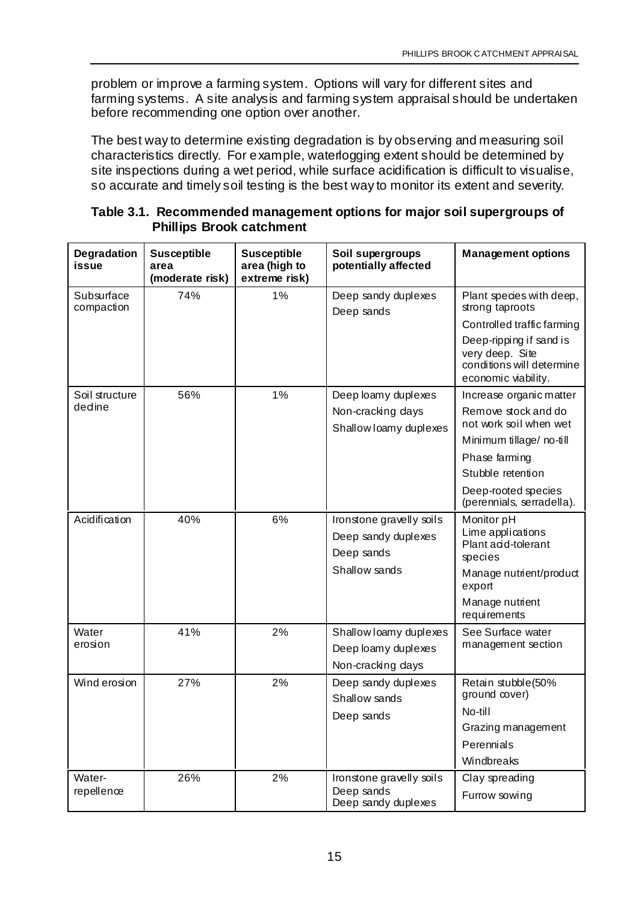problem or improve a farming system. Options will vary for different sites and farming systems. A site analysis and farming system appraisal should be undertaken before recommending one option over another.

The best way to determine existing degradation is by observing and measuring soil characteristics directly. For example, waterlogging extent should be determined by site inspections during a wet period, while surface acidification is difficult to visualise, so accurate and timely soil testing is the best way to monitor its extent and severity.

| Table 3.1. Recommended management options for major soil supergroups of<br><b>Phillips Brook catchment</b> |  |  |  |  |  |  |  |
|------------------------------------------------------------------------------------------------------------|--|--|--|--|--|--|--|
|                                                                                                            |  |  |  |  |  |  |  |

| Degradation<br>issue     | <b>Susceptible</b><br>area<br>(moderate risk) | <b>Susceptible</b><br>area (high to<br>extreme risk) | Soil supergroups<br>potentially affected | <b>Management options</b>                                                                      |
|--------------------------|-----------------------------------------------|------------------------------------------------------|------------------------------------------|------------------------------------------------------------------------------------------------|
| Subsurface<br>compaction | 74%                                           | 1%                                                   | Deep sandy duplexes<br>Deep sands        | Plant species with deep,<br>strong taproots                                                    |
|                          |                                               |                                                      |                                          | Controlled traffic farming                                                                     |
|                          |                                               |                                                      |                                          | Deep-ripping if sand is<br>very deep. Site<br>conditions will determine<br>economic viability. |
| Soil structure           | 56%                                           | 1%                                                   | Deep loamy duplexes                      | Increase organic matter                                                                        |
| dedine                   |                                               |                                                      | Non-cracking days                        | Remove stock and do                                                                            |
|                          |                                               |                                                      | Shallow loamy duplexes                   | not work soil when wet                                                                         |
|                          |                                               |                                                      |                                          | Minimum tillage/no-till                                                                        |
|                          |                                               |                                                      |                                          | Phase farming                                                                                  |
|                          |                                               |                                                      |                                          | Stubble retention                                                                              |
|                          |                                               |                                                      |                                          | Deep-rooted species<br>(perennials, serradella).                                               |
| Acidification            | 40%                                           | 6%                                                   | Ironstone gravelly soils                 | Monitor pH                                                                                     |
|                          |                                               |                                                      | Deep sandy duplexes<br>Deep sands        | Lime applications<br>Plant acid-tolerant<br>species                                            |
|                          |                                               |                                                      | Shallow sands                            | Manage nutrient/product<br>export                                                              |
|                          |                                               |                                                      |                                          | Manage nutrient<br>requirements                                                                |
| Water                    | 41%                                           | 2%                                                   | Shallow loamy duplexes                   | See Surface water                                                                              |
| erosion                  |                                               |                                                      | Deep loamy duplexes                      | management section                                                                             |
|                          |                                               |                                                      | Non-cracking days                        |                                                                                                |
| Wind erosion             | 27%                                           | 2%                                                   | Deep sandy duplexes                      | Retain stubble(50%                                                                             |
|                          |                                               |                                                      | Shallow sands                            | ground cover)                                                                                  |
|                          |                                               |                                                      | Deep sands                               | No-till                                                                                        |
|                          |                                               |                                                      |                                          | Grazing management                                                                             |
|                          |                                               |                                                      |                                          | Perennials                                                                                     |
|                          |                                               |                                                      |                                          | Windbreaks                                                                                     |
| Water-                   | 26%                                           | 2%                                                   | Ironstone gravelly soils                 | Clay spreading                                                                                 |
| repellence               |                                               |                                                      | Deep sands<br>Deep sandy duplexes        | Furrow sowing                                                                                  |

# **Table 3.1. Recommended management options for major soil supergroups of**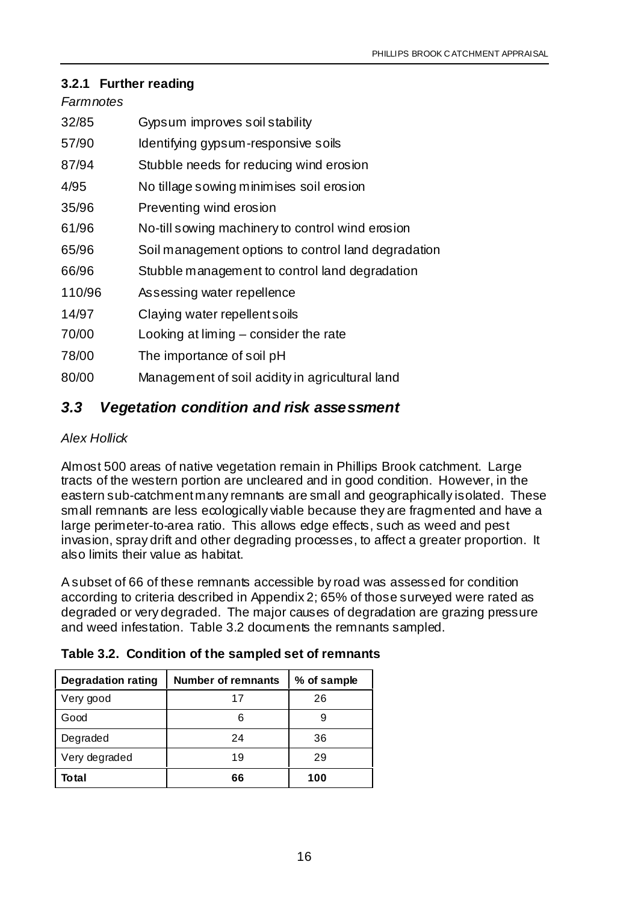#### **3.2.1 Further reading**

#### *Farmnotes*

| 32/85  | Gypsum improves soil stability                      |
|--------|-----------------------------------------------------|
| 57/90  | Identifying gypsum-responsive soils                 |
| 87/94  | Stubble needs for reducing wind erosion             |
| 4/95   | No tillage sowing minimises soil erosion            |
| 35/96  | Preventing wind erosion                             |
| 61/96  | No-till sowing machinery to control wind erosion    |
| 65/96  | Soil management options to control land degradation |
| 66/96  | Stubble management to control land degradation      |
| 110/96 | Assessing water repellence                          |
| 14/97  | Claying water repellent soils                       |
| 70/00  | Looking at $liming - consider the rate$             |
| 78/00  | The importance of soil pH                           |
| 80/00  | Management of soil acidity in agricultural land     |
|        |                                                     |

#### *3.3 Vegetation condition and risk assessment*

#### *Alex Hollick*

Almost 500 areas of native vegetation remain in Phillips Brook catchment. Large tracts of the western portion are uncleared and in good condition. However, in the eastern sub-catchment many remnants are small and geographically isolated. These small remnants are less ecologically viable because they are fragmented and have a large perimeter-to-area ratio. This allows edge effects, such as weed and pest invasion, spray drift and other degrading processes, to affect a greater proportion. It also limits their value as habitat.

A subset of 66 of these remnants accessible by road was assessed for condition according to criteria described in Appendix 2; 65% of those surveyed were rated as degraded or very degraded. The major causes of degradation are grazing pressure and weed infestation. Table 3.2 documents the remnants sampled.

|  | Table 3.2. Condition of the sampled set of remnants |  |  |  |  |
|--|-----------------------------------------------------|--|--|--|--|
|--|-----------------------------------------------------|--|--|--|--|

| <b>Degradation rating</b> | <b>Number of remnants</b> | % of sample |
|---------------------------|---------------------------|-------------|
| Very good                 | 17                        | 26          |
| Good                      | 6                         |             |
| Degraded                  | 24                        | 36          |
| Very degraded             | 19                        | 29          |
| Total                     | 66                        | 100         |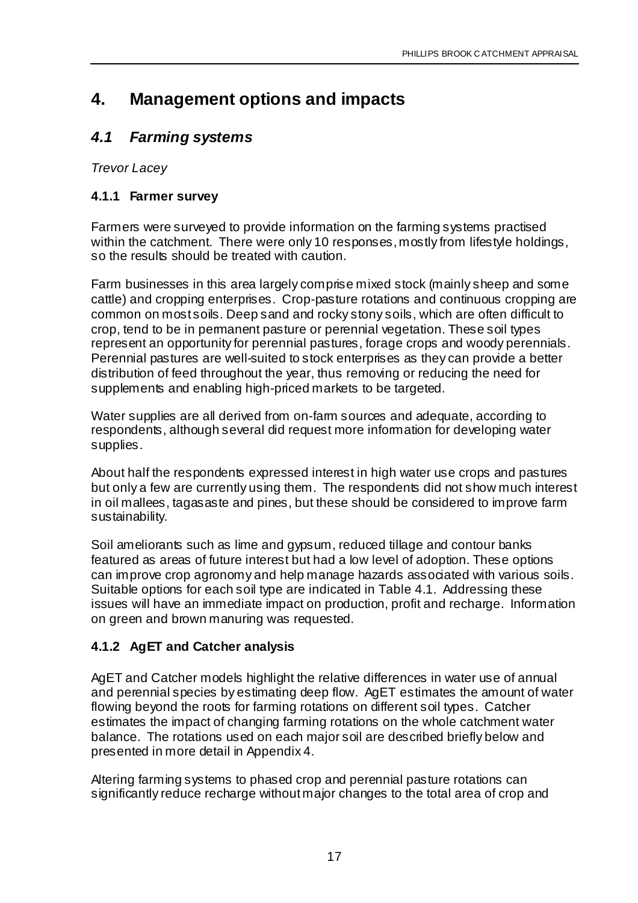## **4. Management options and impacts**

## *4.1 Farming systems*

*Trevor Lacey*

#### **4.1.1 Farmer survey**

Farmers were surveyed to provide information on the farming systems practised within the catchment. There were only 10 responses, mostly from lifestyle holdings, so the results should be treated with caution.

Farm businesses in this area largely comprise mixed stock (mainly sheep and some cattle) and cropping enterprises. Crop-pasture rotations and continuous cropping are common on most soils. Deep sand and rocky stony soils, which are often difficult to crop, tend to be in permanent pasture or perennial vegetation. These soil types represent an opportunity for perennial pastures, forage crops and woody perennials. Perennial pastures are well-suited to stock enterprises as they can provide a better distribution of feed throughout the year, thus removing or reducing the need for supplements and enabling high-priced markets to be targeted.

Water supplies are all derived from on-farm sources and adequate, according to respondents, although several did request more information for developing water supplies.

About half the respondents expressed interest in high water use crops and pastures but only a few are currently using them. The respondents did not show much interest in oil mallees, tagasaste and pines, but these should be considered to improve farm sustainability.

Soil ameliorants such as lime and gypsum, reduced tillage and contour banks featured as areas of future interest but had a low level of adoption. These options can improve crop agronomy and help manage hazards associated with various soils. Suitable options for each soil type are indicated in Table 4.1. Addressing these issues will have an immediate impact on production, profit and recharge. Information on green and brown manuring was requested.

#### **4.1.2 AgET and Catcher analysis**

AgET and Catcher models highlight the relative differences in water use of annual and perennial species by estimating deep flow. AgET estimates the amount of water flowing beyond the roots for farming rotations on different soil types. Catcher estimates the impact of changing farming rotations on the whole catchment water balance. The rotations used on each major soil are described briefly below and presented in more detail in Appendix 4.

Altering farming systems to phased crop and perennial pasture rotations can significantly reduce recharge without major changes to the total area of crop and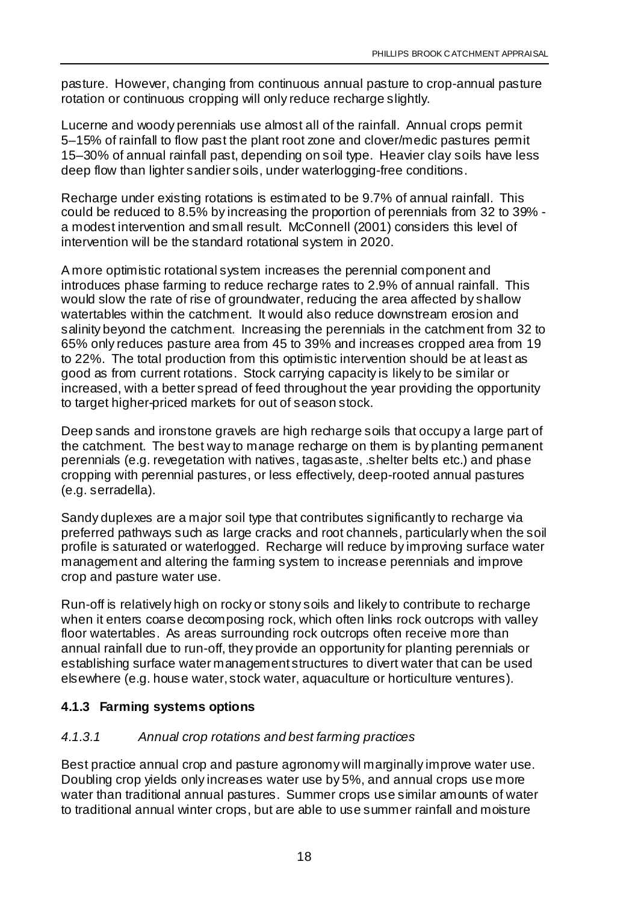pasture. However, changing from continuous annual pasture to crop-annual pasture rotation or continuous cropping will only reduce recharge slightly.

Lucerne and woody perennials use almost all of the rainfall. Annual crops permit 5–15% of rainfall to flow past the plant root zone and clover/medic pastures permit 15–30% of annual rainfall past, depending on soil type. Heavier clay soils have less deep flow than lighter sandier soils, under waterlogging-free conditions.

Recharge under existing rotations is estimated to be 9.7% of annual rainfall. This could be reduced to 8.5% by increasing the proportion of perennials from 32 to 39% a modest intervention and small result. McConnell (2001) considers this level of intervention will be the standard rotational system in 2020.

A more optimistic rotational system increases the perennial component and introduces phase farming to reduce recharge rates to 2.9% of annual rainfall. This would slow the rate of rise of groundwater, reducing the area affected by shallow watertables within the catchment. It would also reduce downstream erosion and salinity beyond the catchment. Increasing the perennials in the catchment from 32 to 65% only reduces pasture area from 45 to 39% and increases cropped area from 19 to 22%. The total production from this optimistic intervention should be at least as good as from current rotations. Stock carrying capacity is likely to be similar or increased, with a better spread of feed throughout the year providing the opportunity to target higher-priced markets for out of season stock.

Deep sands and ironstone gravels are high recharge soils that occupy a large part of the catchment. The best way to manage recharge on them is by planting permanent perennials (e.g. revegetation with natives, tagasaste, .shelter belts etc.) and phase cropping with perennial pastures, or less effectively, deep-rooted annual pastures (e.g. serradella).

Sandy duplexes are a major soil type that contributes significantly to recharge via preferred pathways such as large cracks and root channels, particularly when the soil profile is saturated or waterlogged. Recharge will reduce by improving surface water management and altering the farming system to increase perennials and improve crop and pasture water use.

Run-off is relatively high on rocky or stony soils and likely to contribute to recharge when it enters coarse decomposing rock, which often links rock outcrops with valley floor watertables. As areas surrounding rock outcrops often receive more than annual rainfall due to run-off, they provide an opportunity for planting perennials or establishing surface water management structures to divert water that can be used elsewhere (e.g. house water, stock water, aquaculture or horticulture ventures).

#### **4.1.3 Farming systems options**

#### *4.1.3.1 Annual crop rotations and best farming practices*

Best practice annual crop and pasture agronomy will marginally improve water use. Doubling crop yields only increases water use by 5%, and annual crops use more water than traditional annual pastures. Summer crops use similar amounts of water to traditional annual winter crops, but are able to use summer rainfall and moisture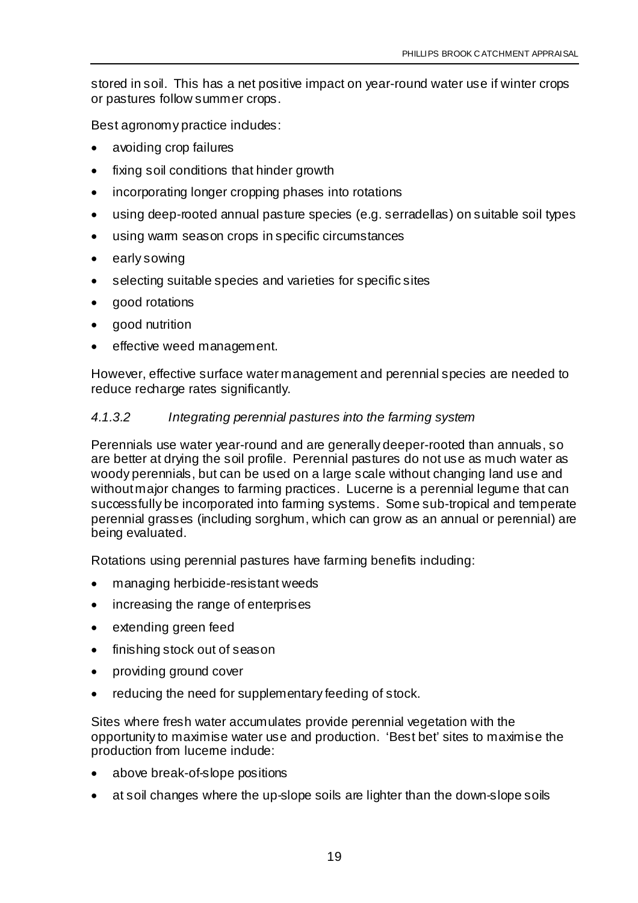stored in soil. This has a net positive impact on year-round water use if winter crops or pastures follow summer crops.

Best agronomy practice includes:

- avoiding crop failures
- fixing soil conditions that hinder growth
- incorporating longer cropping phases into rotations
- using deep-rooted annual pasture species (e.g. serradellas) on suitable soil types
- using warm season crops in specific circumstances
- early sowing
- selecting suitable species and varieties for specific sites
- good rotations
- good nutrition
- effective weed management.

However, effective surface water management and perennial species are needed to reduce recharge rates significantly.

#### *4.1.3.2 Integrating perennial pastures into the farming system*

Perennials use water year-round and are generally deeper-rooted than annuals, so are better at drying the soil profile. Perennial pastures do not use as much water as woody perennials, but can be used on a large scale without changing land use and without major changes to farming practices. Lucerne is a perennial legume that can successfully be incorporated into farming systems. Some sub-tropical and temperate perennial grasses (including sorghum, which can grow as an annual or perennial) are being evaluated.

Rotations using perennial pastures have farming benefits induding:

- managing herbicide-resistant weeds
- increasing the range of enterprises
- extending green feed
- finishing stock out of season
- providing ground cover
- reducing the need for supplementary feeding of stock.

Sites where fresh water accumulates provide perennial vegetation with the opportunity to maximise water use and production. 'Best bet' sites to maximise the production from luceme include:

- above break-of-slope positions
- at soil changes where the up-slope soils are lighter than the down-slope soils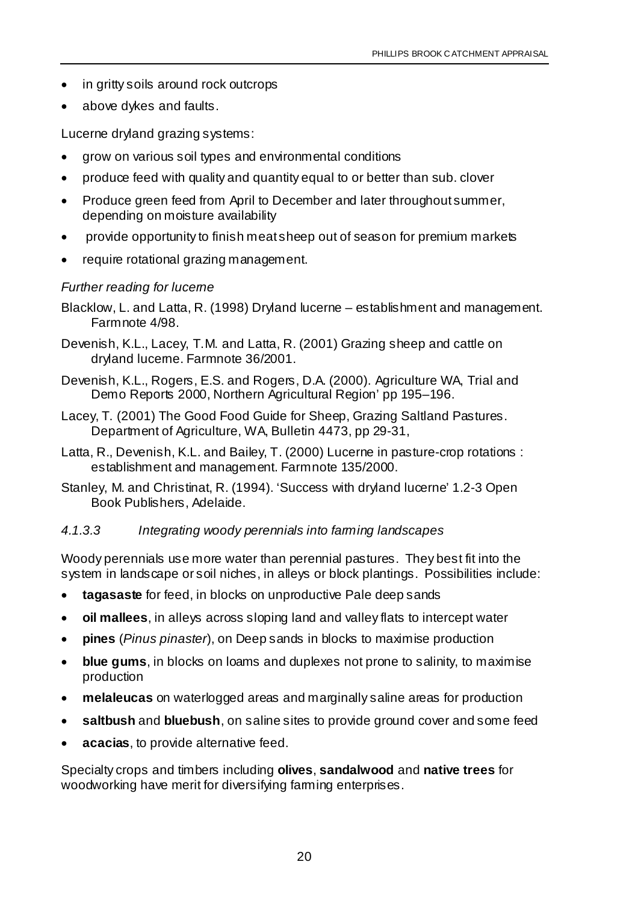- in gritty soils around rock outcrops
- above dykes and faults.

Lucerne dryland grazing systems:

- grow on various soil types and environmental conditions
- produce feed with quality and quantity equal to or better than sub. clover
- Produce green feed from April to December and later throughout summer, depending on moisture availability
- provide opportunity to finish meat sheep out of season for premium markets
- require rotational grazing management.

#### *Further reading for lucerne*

- Blacklow, L. and Latta, R. (1998) Dryland lucerne establishment and management. Farmnote 4/98.
- Devenish, K.L., Lacey, T.M. and Latta, R. (2001) Grazing sheep and cattle on dryland lucerne. Farmnote 36/2001.
- Devenish, K.L., Rogers, E.S. and Rogers, D.A. (2000). Agriculture WA, Trial and Demo Reports 2000, Northern Agricultural Region' pp 195–196.
- Lacey, T. (2001) The Good Food Guide for Sheep, Grazing Saltland Pastures. Department of Agriculture, WA, Bulletin 4473, pp 29-31,
- Latta, R., Devenish, K.L. and Bailey, T. (2000) Lucerne in pasture-crop rotations : establishment and management. Farmnote 135/2000.
- Stanley, M. and Christinat, R. (1994). 'Success with dryland lucerne' 1.2-3 Open Book Publishers, Adelaide.

#### *4.1.3.3 Integrating woody perennials into farming landscapes*

Woody perennials use more water than perennial pastures. They best fit into the system in landscape or soil niches, in alleys or block plantings. Possibilities include:

- **tagasaste** for feed, in blocks on unproductive Pale deep sands
- **oil mallees**, in alleys across sloping land and valley flats to intercept water
- **pines** (*Pinus pinaster*), on Deep sands in blocks to maximise production
- **blue gums**, in blocks on loams and duplexes not prone to salinity, to maximise production
- **melaleucas** on waterlogged areas and marginally saline areas for production
- **saltbush** and **bluebush**, on saline sites to provide ground cover and some feed
- **acacias**, to provide alternative feed.

Specialty crops and timbers including **olives**, **sandalwood** and **native trees** for woodworking have merit for diversifying farming enterprises.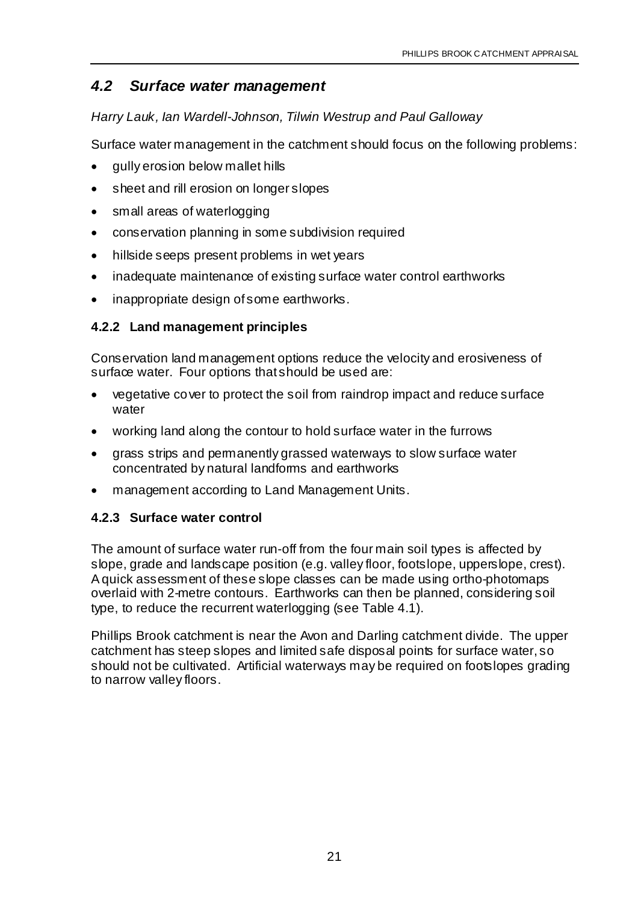#### *4.2 Surface water management*

*Harry Lauk, Ian Wardell-Johnson, Tilwin Westrup and Paul Galloway*

Surface water management in the catchment should focus on the following problems:

- gully erosion below mallet hills
- sheet and rill erosion on longer slopes
- small areas of waterlogging
- conservation planning in some subdivision required
- hillside seeps present problems in wet years
- inadequate maintenance of existing surface water control earthworks
- inappropriate design of some earthworks.

#### **4.2.2 Land management principles**

Conservation land management options reduce the velocity and erosiveness of surface water. Four options that should be used are:

- vegetative cover to protect the soil from raindrop impact and reduce surface water
- working land along the contour to hold surface water in the furrows
- grass strips and permanently grassed waterways to slow surface water concentrated by natural landforms and earthworks
- management according to Land Management Units.

#### **4.2.3 Surface water control**

The amount of surface water run-off from the four main soil types is affected by slope, grade and landscape position (e.g. valley floor, footslope, upperslope, crest). A quick assessment of these slope classes can be made using ortho-photomaps overlaid with 2-metre contours. Earthworks can then be planned, considering soil type, to reduce the recurrent waterlogging (see Table 4.1).

Phillips Brook catchment is near the Avon and Darling catchment divide. The upper catchment has steep slopes and limited safe disposal points for surface water, so should not be cultivated. Artificial waterways may be required on footslopes grading to narrow valley floors.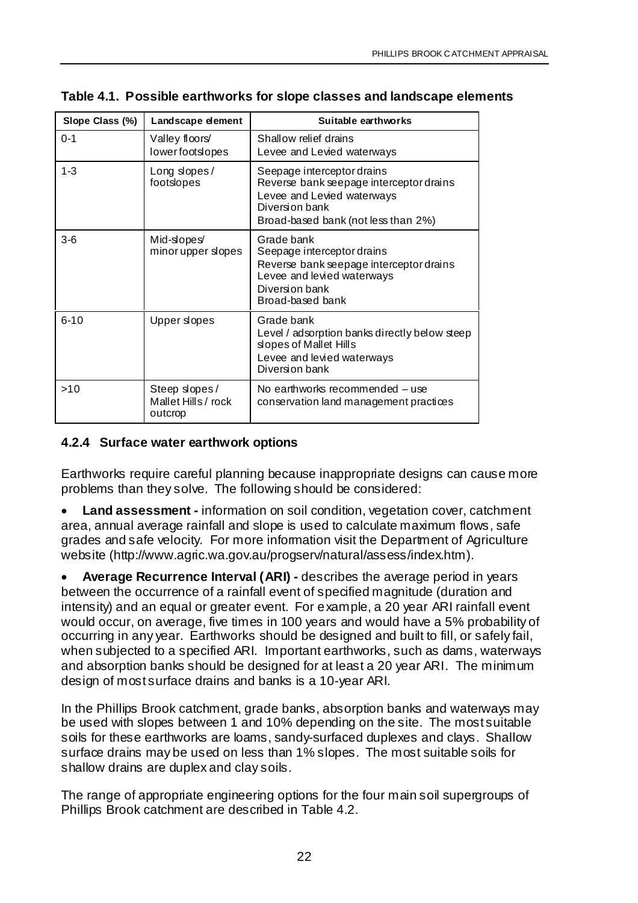| Slope Class (%) | Landscape element                               | Suitable earthworks                                                                                                                                          |
|-----------------|-------------------------------------------------|--------------------------------------------------------------------------------------------------------------------------------------------------------------|
| $0 - 1$         | Valley floors/<br>lowerfootslopes               | Shallow relief drains<br>Levee and Levied waterways                                                                                                          |
| $1 - 3$         | Long slopes/<br>footslopes                      | Seepage interceptor drains<br>Reverse bank seepage interceptor drains<br>Levee and Levied waterways<br>Diversion bank<br>Broad-based bank (not less than 2%) |
| $3-6$           | Mid-slopes/<br>minor upper slopes               | Grade bank<br>Seepage interceptor drains<br>Reverse bank seepage interceptor drains<br>Levee and levied waterways<br>Diversion bank<br>Broad-based bank      |
| $6 - 10$        | Upper slopes                                    | Grade bank<br>Level / adsorption banks directly below steep<br>slopes of Mallet Hills<br>Levee and levied waterways<br>Diversion bank                        |
| >10             | Steep slopes/<br>Mallet Hills / rock<br>outcrop | No earthworks recommended – use<br>conservation land management practices                                                                                    |

**Table 4.1. Possible earthworks for slope classes and landscape elements**

#### **4.2.4 Surface water earthwork options**

Earthworks require careful planning because inappropriate designs can cause more problems than they solve. The following should be considered:

• **Land assessment -** information on soil condition, vegetation cover, catchment area, annual average rainfall and slope is used to calculate maximum flows, safe grades and safe velocity. For more information visit the Department of Agriculture website (http://www.agric.wa.gov.au/progserv/natural/assess/index.htm).

• **Average Recurrence Interval (ARI) -** describes the average period in years between the occurrence of a rainfall event of specified magnitude (duration and intensity) and an equal or greater event. For example, a 20 year ARI rainfall event would occur, on average, five times in 100 years and would have a 5% probability of occurring in any year. Earthworks should be designed and built to fill, or safely fail, when subjected to a specified ARI. Important earthworks, such as dams, waterways and absorption banks should be designed for at least a 20 year ARI. The minimum design of most surface drains and banks is a 10-year ARI.

In the Phillips Brook catchment, grade banks, absorption banks and waterways may be used with slopes between 1 and 10% depending on the site. The most suitable soils for these earthworks are loams, sandy-surfaced duplexes and clays. Shallow surface drains may be used on less than 1% slopes. The most suitable soils for shallow drains are duplex and clay soils.

The range of appropriate engineering options for the four main soil supergroups of Phillips Brook catchment are described in Table 4.2.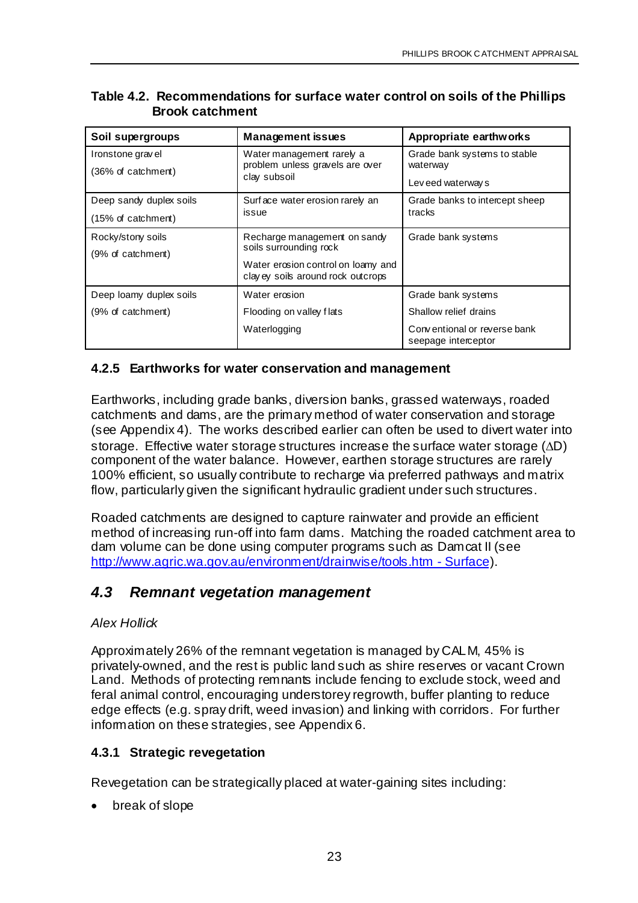| Soil supergroups              | <b>Management issues</b>                                                 | Appropriate earthworks                              |  |
|-------------------------------|--------------------------------------------------------------------------|-----------------------------------------------------|--|
| Ironstone gravel              | Water management rarely a<br>problem unless gravels are over             | Grade bank systems to stable                        |  |
| (36% of catchment)            | clay subsoil                                                             | waterway<br>Leveed waterway s                       |  |
|                               |                                                                          |                                                     |  |
| Deep sandy duplex soils       | Surface water erosion rarely an                                          | Grade banks to intercept sheep                      |  |
| $(15\% \text{ of catchment})$ | issue                                                                    | tracks                                              |  |
| Rocky/stony soils             | Recharge management on sandy                                             | Grade bank systems                                  |  |
| (9% of catchment)             | soils surrounding rock                                                   |                                                     |  |
|                               | Water erosion control on loamy and<br>clay ey soils around rock outcrops |                                                     |  |
| Deep loamy duplex soils       | Water erosion                                                            | Grade bank systems                                  |  |
| (9% of catchment)             | Flooding on valley flats                                                 | Shallow relief drains                               |  |
|                               | Waterlogging                                                             | Conventional or reverse bank<br>seepage interceptor |  |

#### **Table 4.2. Recommendations for surface water control on soils of the Phillips Brook catchment**

#### **4.2.5 Earthworks for water conservation and management**

Earthworks, including grade banks, diversion banks, grassed waterways, roaded catchments and dams, are the primary method of water conservation and storage (see Appendix 4). The works described earlier can often be used to divert water into storage. Effective water storage structures increase the surface water storage (∆D) component of the water balance. However, earthen storage structures are rarely 100% efficient, so usually contribute to recharge via preferred pathways and matrix flow, particularly given the significant hydraulic gradient under such structures.

Roaded catchments are designed to capture rainwater and provide an efficient method of increasing run-off into farm dams. Matching the roaded catchment area to dam volume can be done using computer programs such as Damcat II (see http://www.agric.wa.gov.au/environment/drainwise/tools.htm - Surface).

## *4.3 Remnant vegetation management*

#### *Alex Hollick*

Approximately 26% of the remnant vegetation is managed by CALM, 45% is privately-owned, and the rest is public land such as shire reserves or vacant Crown Land. Methods of protecting remnants include fencing to exclude stock, weed and feral animal control, encouraging understorey regrowth, buffer planting to reduce edge effects (e.g. spray drift, weed invasion) and linking with corridors. For further information on these strategies, see Appendix 6.

#### **4.3.1 Strategic revegetation**

Revegetation can be strategically placed at water-gaining sites including:

• break of slope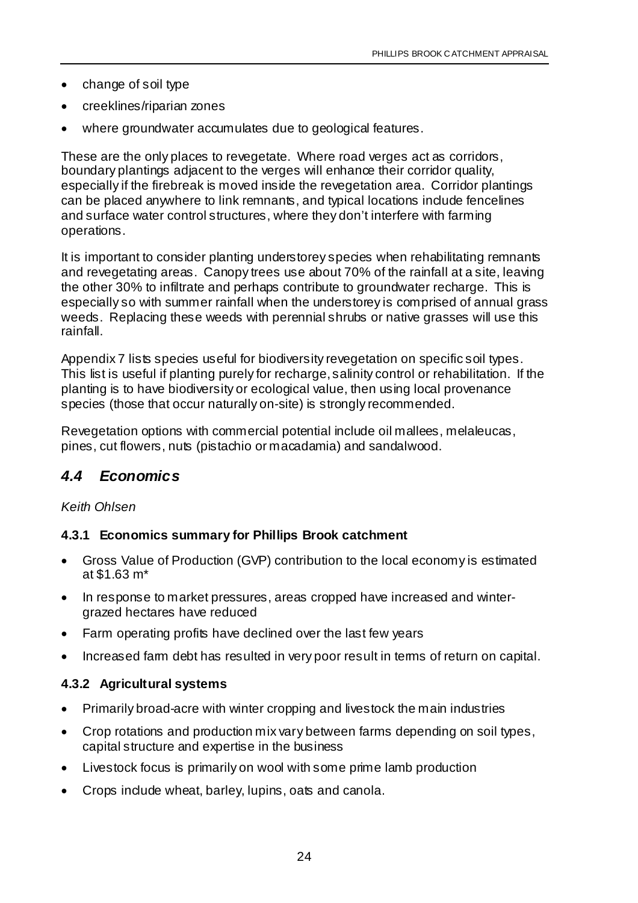- change of soil type
- creeklines/riparian zones
- where groundwater accumulates due to geological features.

These are the only places to revegetate. Where road verges act as corridors, boundary plantings adjacent to the verges will enhance their corridor quality, especially if the firebreak is moved inside the revegetation area. Corridor plantings can be placed anywhere to link remnants, and typical locations indude fencelines and surface water control structures, where they don't interfere with farming operations.

It is important to consider planting understorey species when rehabilitating remnants and revegetating areas. Canopy trees use about 70% of the rainfall at a site, leaving the other 30% to infiltrate and perhaps contribute to groundwater recharge. This is especially so with summer rainfall when the understorey is comprised of annual grass weeds. Replacing these weeds with perennial shrubs or native grasses will use this rainfall.

Appendix 7 lists species useful for biodiversity revegetation on specific soil types. This list is useful if planting purely for recharge, salinity control or rehabilitation. If the planting is to have biodiversity or ecological value, then using local provenance species (those that occur naturally on-site) is strongly recommended.

Revegetation options with commercial potential include oil mallees, melaleucas, pines, cut flowers, nuts (pistachio or macadamia) and sandalwood.

#### *4.4 Economics*

#### *Keith Ohlsen*

#### **4.3.1 Economics summary for Phillips Brook catchment**

- Gross Value of Production (GVP) contribution to the local economy is estimated at \$1.63 m\*
- In response to market pressures, areas cropped have increased and wintergrazed hectares have reduced
- Farm operating profits have declined over the last few years
- Increased farm debt has resulted in very poor result in terms of return on capital.

#### **4.3.2 Agricultural systems**

- Primarily broad-acre with winter cropping and livestock the main industries
- Crop rotations and production mix vary between farms depending on soil types, capital structure and expertise in the business
- Livestock focus is primarily on wool with some prime lamb production
- Crops indude wheat, barley, lupins, oats and canola.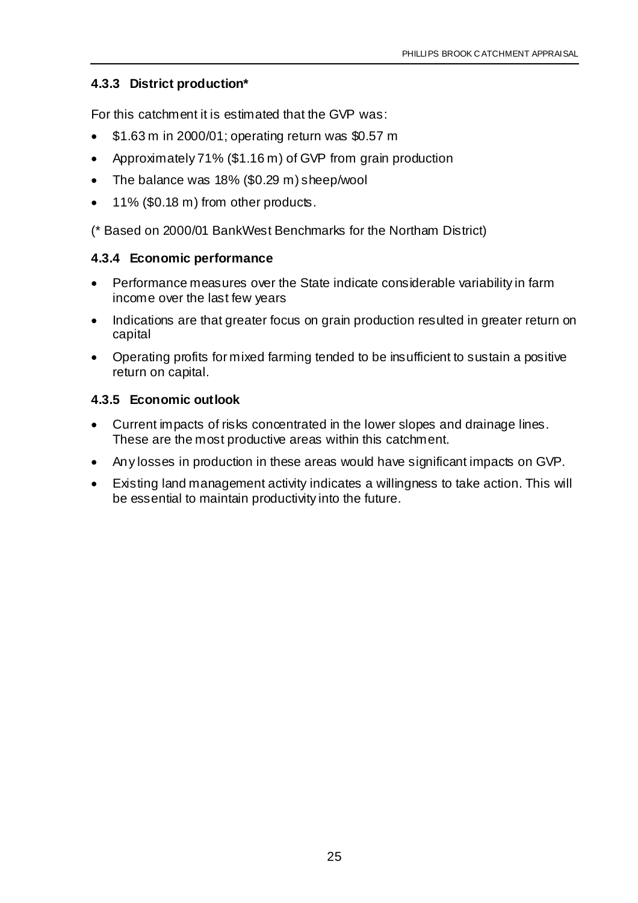#### **4.3.3 District production\***

For this catchment it is estimated that the GVP was:

- \$1.63 m in 2000/01; operating return was \$0.57 m
- Approximately 71% (\$1.16 m) of GVP from grain production
- The balance was 18% (\$0.29 m) sheep/wool
- 11% (\$0.18 m) from other products.

(\* Based on 2000/01 BankWest Benchmarks for the Northam District)

#### **4.3.4 Economic performance**

- Performance measures over the State indicate considerable variability in farm income over the last few years
- Indications are that greater focus on grain production resulted in greater return on capital
- Operating profits for mixed farming tended to be insufficient to sustain a positive return on capital.

#### **4.3.5 Economic outlook**

- Current impacts of risks concentrated in the lower slopes and drainage lines. These are the most productive areas within this catchment.
- Any losses in production in these areas would have significant impacts on GVP.
- Existing land management activity indicates a willingness to take action. This will be essential to maintain productivity into the future.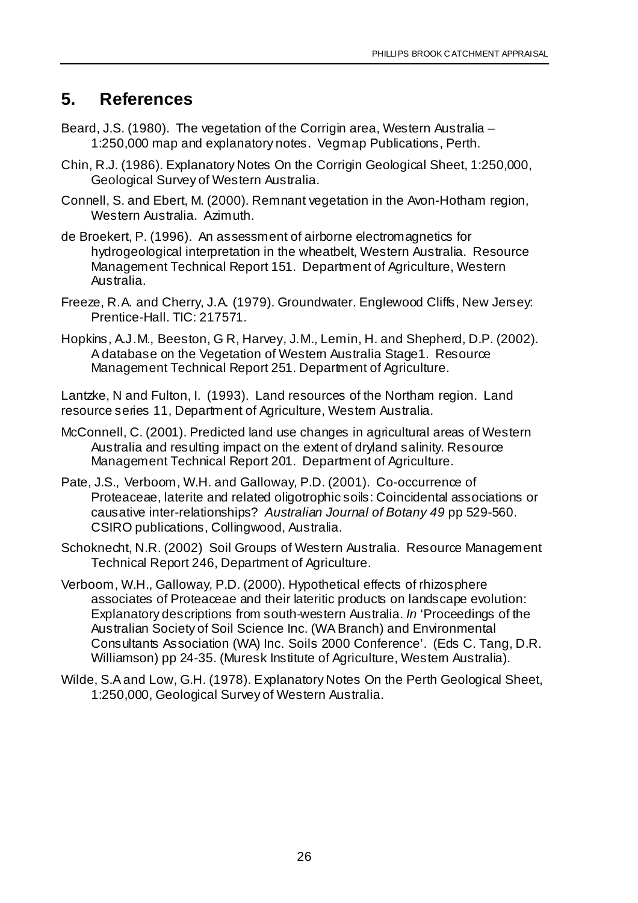## **5. References**

- Beard, J.S. (1980). The vegetation of the Corrigin area, Western Australia 1:250,000 map and explanatory notes. Vegmap Publications, Perth.
- Chin, R.J. (1986). Explanatory Notes On the Corrigin Geological Sheet, 1:250,000, Geological Survey of Western Australia.
- Connell, S. and Ebert, M. (2000). Remnant vegetation in the Avon-Hotham region, Western Australia. Azimuth.
- de Broekert, P. (1996). An assessment of airborne electromagnetics for hydrogeological interpretation in the wheatbelt, Western Australia. Resource Management Technical Report 151. Department of Agriculture, Western Australia.
- Freeze, R.A. and Cherry, J.A. (1979). Groundwater. Englewood Cliffs, New Jersey: Prentice-Hall. TIC: 217571.
- Hopkins, A.J.M., Beeston, G R, Harvey, J.M., Lemin, H. and Shepherd, D.P. (2002). A database on the Vegetation of Western Australia Stage1. Resource Management Technical Report 251. Department of Agriculture.

Lantzke, N and Fulton, I. (1993). Land resources of the Northam region. Land resource series 11, Department of Agriculture, Westem Australia.

- McConnell, C. (2001). Predicted land use changes in agricultural areas of Western Australia and resulting impact on the extent of dryland salinity. Resource Management Technical Report 201. Department of Agriculture.
- Pate, J.S., Verboom, W.H. and Galloway, P.D. (2001). Co-occurrence of Proteaceae, laterite and related oligotrophic soils: Coincidental associations or causative inter-relationships? *Australian Journal of Botany 49* pp 529-560. CSIRO publications, Collingwood, Australia.
- Schoknecht, N.R. (2002) Soil Groups of Western Australia. Resource Management Technical Report 246, Department of Agriculture.
- Verboom, W.H., Galloway, P.D. (2000). Hypothetical effects of rhizosphere associates of Proteaceae and their lateritic products on landscape evolution: Explanatory descriptions from south-western Australia. *In* 'Proceedings of the Australian Society of Soil Science Inc. (WA Branch) and Environmental Consultants Association (WA) Inc. Soils 2000 Conference'. (Eds C. Tang, D.R. Williamson) pp 24-35. (Muresk Institute of Agriculture, Westem Australia).
- Wilde, S.A and Low, G.H. (1978). Explanatory Notes On the Perth Geological Sheet, 1:250,000, Geological Survey of Western Australia.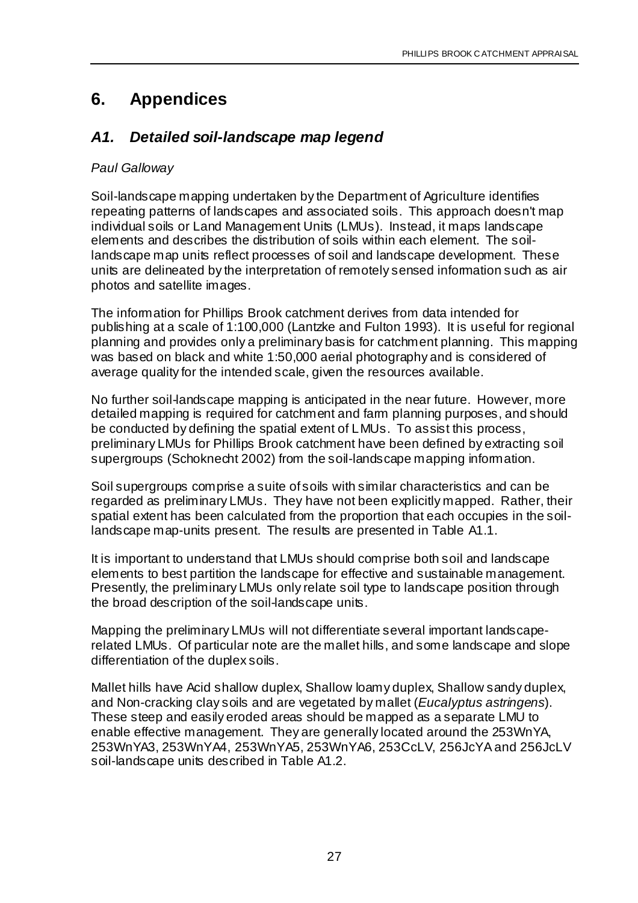## **6. Appendices**

#### *A1. Detailed soil-landscape map legend*

#### *Paul Galloway*

Soil-landscape mapping undertaken by the Department of Agriculture identifies repeating patterns of landscapes and associated soils. This approach doesn't map individual soils or Land Management Units (LMUs). Instead, it maps landscape elements and describes the distribution of soils within each element. The soillandscape map units reflect processes of soil and landscape development. These units are delineated by the interpretation of remotely sensed information such as air photos and satellite images.

The information for Phillips Brook catchment derives from data intended for publishing at a scale of 1:100,000 (Lantzke and Fulton 1993). It is useful for regional planning and provides only a preliminary basis for catchment planning. This mapping was based on black and white 1:50,000 aerial photography and is considered of average quality for the intended scale, given the resources available.

No further soil-landscape mapping is anticipated in the near future. However, more detailed mapping is required for catchment and farm planning purposes, and should be conducted by defining the spatial extent of LMUs. To assist this process, preliminary LMUs for Phillips Brook catchment have been defined by extracting soil supergroups (Schoknecht 2002) from the soil-landscape mapping information.

Soil supergroups comprise a suite of soils with similar characteristics and can be regarded as preliminary LMUs. They have not been explicitly mapped. Rather, their spatial extent has been calculated from the proportion that each occupies in the soillandscape map-units present. The results are presented in Table A1.1.

It is important to understand that LMUs should comprise both soil and landscape elements to best partition the landscape for effective and sustainable management. Presently, the preliminary LMUs only relate soil type to landscape position through the broad description of the soil-landscape units.

Mapping the preliminary LMUs will not differentiate several important landscaperelated LMUs. Of particular note are the mallet hills, and some landscape and slope differentiation of the duplex soils.

Mallet hills have Acid shallow duplex, Shallow loamy duplex, Shallow sandy duplex, and Non-cracking clay soils and are vegetated by mallet (*Eucalyptus astringens*). These steep and easily eroded areas should be mapped as a separate LMU to enable effective management. They are generally located around the 253WnYA, 253WnYA3, 253WnYA4, 253WnYA5, 253WnYA6, 253CcLV, 256JcYA and 256JcLV soil-landscape units described in Table A1.2.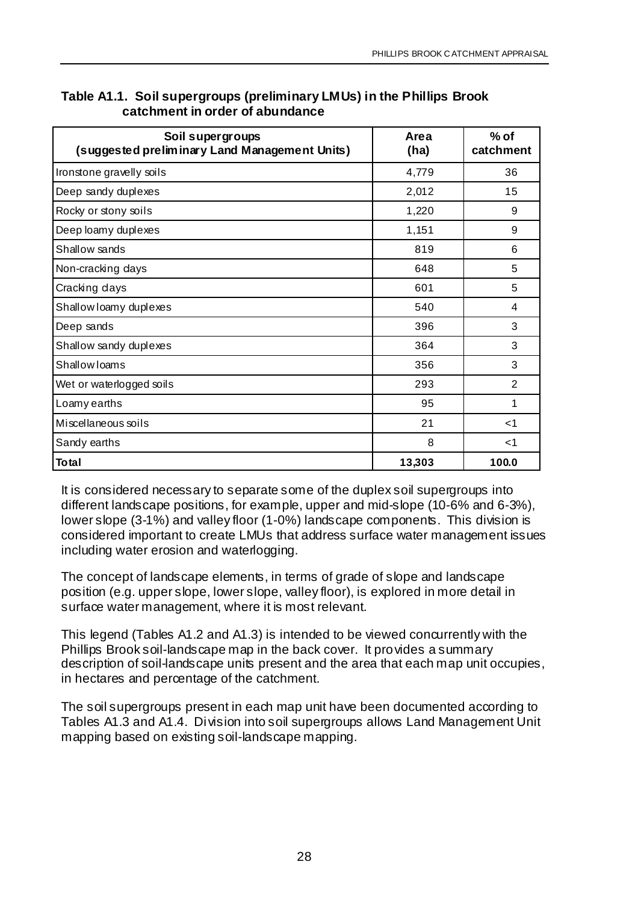| Soil supergroups<br>(suggested preliminary Land Management Units) | Area<br>(ha) | $%$ of<br>catchment |
|-------------------------------------------------------------------|--------------|---------------------|
| Ironstone gravelly soils                                          | 4,779        | 36                  |
| Deep sandy duplexes                                               | 2,012        | 15                  |
| Rocky or stony soils                                              | 1,220        | 9                   |
| Deep loamy duplexes                                               | 1,151        | 9                   |
| Shallow sands                                                     | 819          | 6                   |
| Non-cracking days                                                 | 648          | 5                   |
| Cracking days                                                     | 601          | 5                   |
| Shallow loamy duplexes                                            | 540          | 4                   |
| Deep sands                                                        | 396          | 3                   |
| Shallow sandy duplexes                                            | 364          | 3                   |
| Shallow loams                                                     | 356          | 3                   |
| Wet or waterlogged soils                                          | 293          | 2                   |
| Loamy earths                                                      | 95           | 1                   |
| Miscellaneous soils                                               | 21           | $<$ 1               |
| Sandy earths                                                      | 8            | ا>                  |
| <b>Total</b>                                                      | 13,303       | 100.0               |

#### **Table A1.1. Soil supergroups (preliminary LMUs) in the Phillips Brook catchment in order of abundance**

It is considered necessary to separate some of the duplex soil supergroups into different landscape positions, for example, upper and mid-slope (10-6% and 6-3%), lower slope (3-1%) and valley floor (1-0%) landscape components. This division is considered important to create LMUs that address surface water management issues including water erosion and waterlogging.

The concept of landscape elements, in terms of grade of slope and landscape position (e.g. upper slope, lower slope, valley floor), is explored in more detail in surface water management, where it is most relevant.

This legend (Tables A1.2 and A1.3) is intended to be viewed concurrently with the Phillips Brook soil-landscape map in the back cover. It provides a summary description of soil-landscape units present and the area that each map unit occupies, in hectares and percentage of the catchment.

The soil supergroups present in each map unit have been documented according to Tables A1.3 and A1.4. Division into soil supergroups allows Land Management Unit mapping based on existing soil-landscape mapping.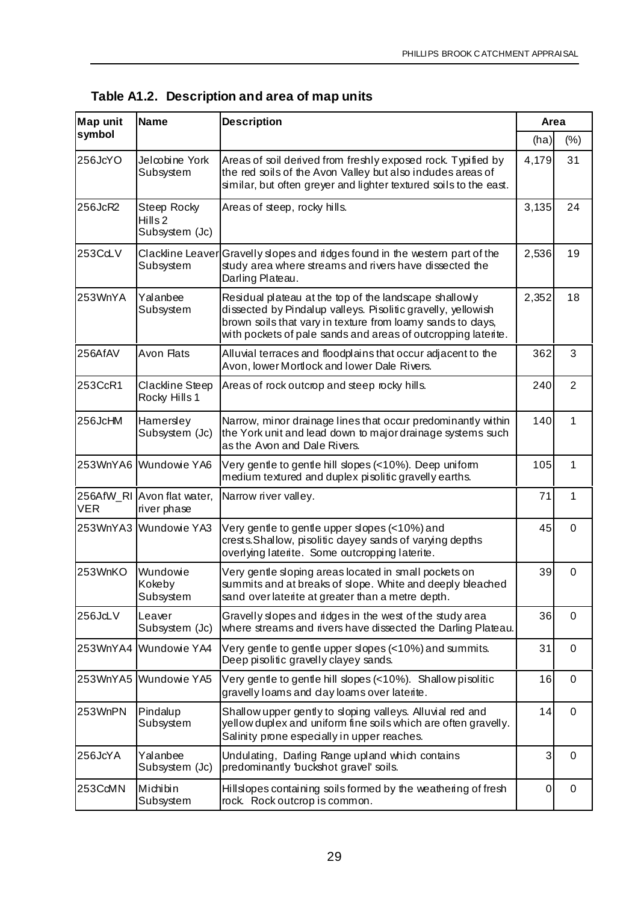| <b>Map unit</b> | <b>Name</b>                                         | <b>Description</b>                                                                                                                                                                                                                                    |       | Area     |
|-----------------|-----------------------------------------------------|-------------------------------------------------------------------------------------------------------------------------------------------------------------------------------------------------------------------------------------------------------|-------|----------|
| symbol          |                                                     |                                                                                                                                                                                                                                                       | (ha)  | (% )     |
| 256JcYO         | Jelcobine York<br>Subsystem                         | Areas of soil derived from freshly exposed rock. Typified by<br>the red soils of the Avon Valley but also indudes areas of<br>similar, but often greyer and lighter textured soils to the east.                                                       | 4,179 | 31       |
| 256JcR2         | Steep Rocky<br>Hills <sub>2</sub><br>Subsystem (Jc) | Areas of steep, rocky hills.                                                                                                                                                                                                                          | 3,135 | 24       |
| 253CdLV         | Subsystem                                           | Clackline Leaver Gravelly slopes and ridges found in the western part of the<br>study area where streams and rivers have dissected the<br>Darling Plateau.                                                                                            | 2,536 | 19       |
| 253WnYA         | Yalanbee<br>Subsystem                               | Residual plateau at the top of the landscape shallowly<br>dissected by Pindalup valleys. Pisolitic gravelly, yellowish<br>brown soils that vary in texture from loamy sands to days,<br>with pockets of pale sands and areas of outcropping laterite. | 2,352 | 18       |
| 256AfAV         | Avon Flats                                          | Alluvial terraces and floodplains that occur adjacent to the<br>Avon, lower Mortlock and lower Dale Rivers.                                                                                                                                           | 362   | 3        |
| 253CcR1         | <b>Clackline Steep</b><br>Rocky Hills 1             | Areas of rock outcrop and steep rocky hills.                                                                                                                                                                                                          | 240   | 2        |
| 256JcHM         | Hamersley<br>Subsystem (Jc)                         | Narrow, minor drainage lines that occur predominantly within<br>the York unit and lead down to major drainage systems such<br>as the Avon and Dale Rivers.                                                                                            | 140   | 1        |
|                 | 253WnYA6 Wundowie YA6                               | Very gentle to gentle hill slopes (<10%). Deep uniform<br>medium textured and duplex pisolitic gravelly earths.                                                                                                                                       | 105   | 1        |
| <b>VER</b>      | 256AfW_RI Avon flat water,<br>river phase           | Narrow river valley.                                                                                                                                                                                                                                  | 71    | 1        |
|                 | 253WnYA3 Wundowie YA3                               | Very gentle to gentle upper slopes (<10%) and<br>crests. Shallow, pisolitic dayey sands of varying depths<br>overlying laterite. Some outcropping laterite.                                                                                           | 45    | $\Omega$ |
| 253WnKO         | Wundowie<br>Kokeby<br>Subsystem                     | Very gentle sloping areas located in small pockets on<br>summits and at breaks of slope. White and deeply bleached<br>sand over laterite at greater than a metre depth.                                                                               | 39    | 0        |
| 256Jd_V         | Leaver<br>Subsystem (Jc)                            | Gravelly slopes and ridges in the west of the study area<br>where streams and rivers have dissected the Darling Plateau.                                                                                                                              | 36    | 0        |
|                 | 253WnYA4 Wundowie YA4                               | Very gentle to gentle upper slopes (<10%) and summits.<br>Deep pisolitic gravelly clayey sands.                                                                                                                                                       | 31    | 0        |
|                 | 253WnYA5 Wundowie YA5                               | Very gentle to gentle hill slopes (<10%). Shallow pisolitic<br>gravelly loams and day loams over laterite.                                                                                                                                            | 16    | 0        |
| 253WnPN         | Pindalup<br>Subsystem                               | Shallow upper gently to sloping valleys. Alluvial red and<br>yellow duplex and uniform fine soils which are often gravelly.<br>Salinity prone especially in upper reaches.                                                                            | 14    | 0        |
| 256JcYA         | Yalanbee<br>Subsystem (Jc)                          | Undulating, Darling Range upland which contains<br>predominantly buckshot gravel' soils.                                                                                                                                                              | 3     | 0        |
| 253CdMN         | Michibin<br>Subsystem                               | Hillslopes containing soils formed by the weathering of fresh<br>rock. Rock outcrop is common.                                                                                                                                                        | 0     | 0        |

| Table A1.2. Description and area of map units |  |  |  |  |
|-----------------------------------------------|--|--|--|--|
|-----------------------------------------------|--|--|--|--|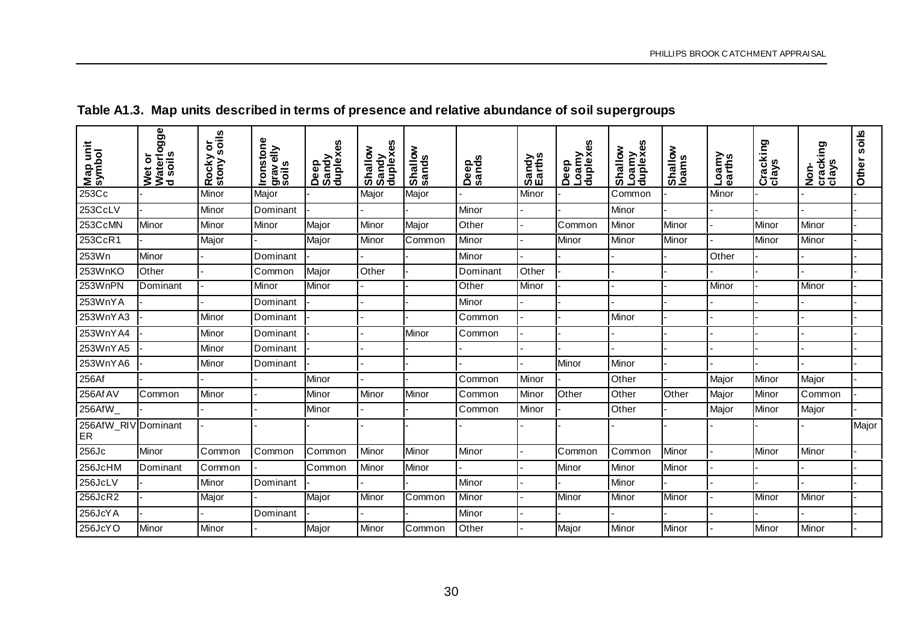| Map unit<br>symbol        | Wet or<br>Waterlogge<br>d soils | Rocky or<br>stony soils | <b>Ironstone</b><br>gravelly<br>soils | 8<br>Deep<br>Sandy<br>duplex | Shallow<br>Sandy<br>duplexes | Shallow<br>sands | Deep<br>sands | Sandy<br>Earths | 8<br>Deep<br>Loamy<br>duplexe | Loamy<br>duplexes<br>Shallow | Shallow<br>Ioams | Loamy<br>earths | Cracking<br>clays | cracking<br>clays<br><u>d</u><br>S | soils<br>Other |
|---------------------------|---------------------------------|-------------------------|---------------------------------------|------------------------------|------------------------------|------------------|---------------|-----------------|-------------------------------|------------------------------|------------------|-----------------|-------------------|------------------------------------|----------------|
| 253Cc                     |                                 | Minor                   | Major                                 |                              | Major                        | Major            |               | Minor           |                               | Common                       |                  | Minor           |                   |                                    |                |
| 253CcLV                   |                                 | Minor                   | Dominant                              |                              |                              |                  | Minor         |                 |                               | Minor                        |                  |                 |                   |                                    |                |
| 253CcMN                   | Minor                           | Minor                   | Minor                                 | Major                        | Minor                        | Major            | Other         |                 | Common                        | Minor                        | Minor            |                 | Minor             | Minor                              |                |
| 253CcR1                   |                                 | Major                   |                                       | Major                        | Minor                        | Common           | Minor         |                 | Minor                         | Minor                        | Minor            |                 | Minor             | Minor                              |                |
| 253Wn                     | Minor                           |                         | Dominant                              |                              |                              |                  | Minor         |                 |                               |                              |                  | Other           |                   |                                    |                |
| 253WnKO                   | Other                           |                         | Common                                | Major                        | Other                        |                  | Dominant      | Other           |                               |                              |                  |                 |                   |                                    |                |
| 253WnPN                   | Dominant                        |                         | Minor                                 | Minor                        |                              |                  | Other         | Minor           |                               |                              |                  | Minor           |                   | Minor                              |                |
| 253WnYA                   |                                 |                         | Dominant                              |                              |                              |                  | Minor         |                 |                               |                              |                  |                 |                   |                                    |                |
| 253WnYA3                  |                                 | Minor                   | Dominant                              |                              |                              |                  | Common        |                 |                               | Minor                        |                  |                 |                   |                                    |                |
| 253WnYA4                  |                                 | Minor                   | Dominant                              |                              |                              | Minor            | Common        |                 |                               |                              |                  |                 |                   |                                    |                |
| 253WnYA5                  |                                 | Minor                   | Dominant                              |                              |                              |                  |               |                 |                               |                              |                  |                 |                   |                                    |                |
| 253WnYA6                  |                                 | Minor                   | Dominant                              |                              |                              |                  |               |                 | Minor                         | Minor                        |                  |                 |                   |                                    |                |
| 256Af                     |                                 |                         |                                       | Minor                        |                              |                  | Common        | Minor           |                               | Other                        |                  | Major           | Minor             | Major                              |                |
| 256Af AV                  | Common                          | Minor                   |                                       | Minor                        | Minor                        | Minor            | Common        | Minor           | Other                         | Other                        | Other            | Major           | Minor             | Common                             |                |
| 256AfW_                   |                                 |                         |                                       | Minor                        |                              |                  | Common        | Minor           |                               | Other                        |                  | Major           | Minor             | Major                              |                |
| 256AfW_RIV Dominant<br>ER |                                 |                         |                                       |                              |                              |                  |               |                 |                               |                              |                  |                 |                   |                                    | Major          |
| 256Jc                     | Minor                           | Common                  | Common                                | Common                       | Minor                        | Minor            | Minor         |                 | Common                        | Common                       | Minor            |                 | Minor             | Minor                              |                |
| 256JcHM                   | Dominant                        | Common                  |                                       | Common                       | Minor                        | Minor            |               |                 | Minor                         | Minor                        | Minor            |                 |                   |                                    |                |
| 256JcLV                   |                                 | Minor                   | Dominant                              |                              |                              |                  | Minor         |                 |                               | Minor                        |                  |                 |                   |                                    |                |
| 256JcR2                   |                                 | Major                   |                                       | Major                        | Minor                        | Common           | Minor         |                 | Minor                         | Minor                        | Minor            |                 | Minor             | Minor                              |                |
| 256JcYA                   |                                 |                         | Dominant                              |                              |                              |                  | Minor         |                 |                               |                              |                  |                 |                   |                                    |                |
| 256JcYO                   | Minor                           | Minor                   |                                       | Major                        | Minor                        | Common           | Other         |                 | Major                         | Minor                        | Minor            |                 | Minor             | Minor                              |                |

## **Table A1.3. Map units described in terms of presence and relative abundance of soil supergroups**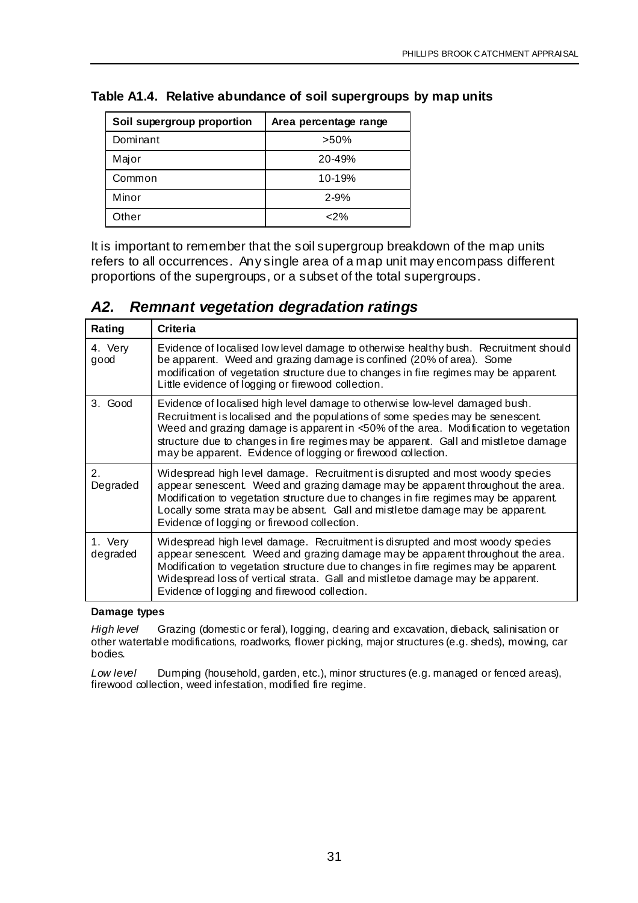| Soil supergroup proportion | Area percentage range |
|----------------------------|-----------------------|
| Dominant                   | $>50\%$               |
| Major                      | $20 - 49%$            |
| Common                     | 10-19%                |
| Minor                      | $2 - 9%$              |
| Other                      | $<$ 2%                |

#### **Table A1.4. Relative abundance of soil supergroups by map units**

It is important to remember that the soil supergroup breakdown of the map units refers to all occurrences. Any single area of a map unit may encompass different proportions of the supergroups, or a subset of the total supergroups.

#### *A2. Remnant vegetation degradation ratings*

| Rating              | Criteria                                                                                                                                                                                                                                                                                                                                                                                                     |
|---------------------|--------------------------------------------------------------------------------------------------------------------------------------------------------------------------------------------------------------------------------------------------------------------------------------------------------------------------------------------------------------------------------------------------------------|
| 4. Very<br>good     | Evidence of localised low level damage to otherwise healthy bush. Recruitment should<br>be apparent. Weed and grazing damage is confined (20% of area). Some<br>modification of vegetation structure due to changes in fire regimes may be apparent.<br>Little evidence of logging or firewood collection.                                                                                                   |
| 3. Good             | Evidence of localised high level damage to otherwise low-level damaged bush.<br>Recruitment is localised and the populations of some species may be senescent.<br>Weed and grazing damage is apparent in <50% of the area. Modification to vegetation<br>structure due to changes in fire regimes may be apparent. Gall and mistletoe damage<br>may be apparent. Evidence of logging or firewood collection. |
| 2.<br>Degraded      | Widespread high level damage. Recruitment is disrupted and most woody species<br>appear senescent. Weed and grazing damage may be apparent throughout the area.<br>Modification to vegetation structure due to changes in fire regimes may be apparent.<br>Locally some strata may be absent. Gall and mistletoe damage may be apparent.<br>Evidence of logging or firewood collection.                      |
| 1. Very<br>degraded | Widespread high level damage. Recruitment is disrupted and most woody species<br>appear senescent. Weed and grazing damage may be apparent throughout the area.<br>Modification to vegetation structure due to changes in fire regimes may be apparent.<br>Widespread loss of vertical strata. Gall and mistletoe damage may be apparent.<br>Evidence of logging and firewood collection.                    |

#### **Damage types**

*High level* Grazing (domestic or feral), logging, dearing and excavation, dieback, salinisation or other watertable modifications, roadworks, flower picking, major structures (e.g. sheds), mowing, car bodies.

*Low level* Dumping (household, garden, etc.), minor structures (e.g. managed or fenced areas), firewood collection, weed infestation, modified fire regime.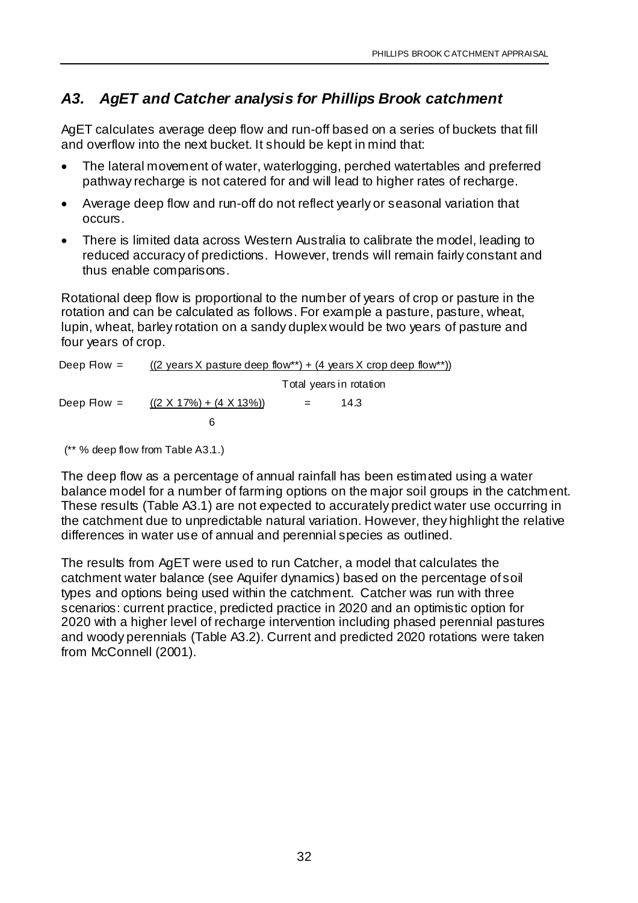## *A3. AgET and Catcher analysis for Phillips Brook catchment*

AgET calculates average deep flow and run-off based on a series of buckets that fill and overflow into the next bucket. It should be kept in mind that:

- The lateral movement of water, waterlogging, perched watertables and preferred pathway recharge is not catered for and will lead to higher rates of recharge.
- Average deep flow and run-off do not reflect yearly or seasonal variation that occurs.
- There is limited data across Western Australia to calibrate the model, leading to reduced accuracy of predictions. However, trends will remain fairly constant and thus enable comparisons.

Rotational deep flow is proportional to the number of years of crop or pasture in the rotation and can be calculated as follows. For example a pasture, pasture, wheat, lupin, wheat, barley rotation on a sandy duplex would be two years of pasture and four years of crop.

| Deep $Flow =$ | $((2 \text{ years } X \text{ pasure deep flow}^*) + (4 \text{ years } X \text{ crop deep flow}^*))$ |     |                         |  |  |
|---------------|-----------------------------------------------------------------------------------------------------|-----|-------------------------|--|--|
|               |                                                                                                     |     | Total years in rotation |  |  |
| Deep $Flow =$ | $((2 \times 17\%) + (4 \times 13\%)$                                                                | $=$ | 14.3                    |  |  |
|               | ิค                                                                                                  |     |                         |  |  |

(\*\* % deep flow from Table A3.1.)

The deep flow as a percentage of annual rainfall has been estimated using a water balance model for a number of farming options on the major soil groups in the catchment. These results (Table A3.1) are not expected to accurately predict water use occurring in the catchment due to unpredictable natural variation. However, they highlight the relative differences in water use of annual and perennial species as outlined.

The results from AgET were used to run Catcher, a model that calculates the catchment water balance (see Aquifer dynamics) based on the percentage of soil types and options being used within the catchment. Catcher was run with three scenarios: current practice, predicted practice in 2020 and an optimistic option for 2020 with a higher level of recharge intervention including phased perennial pastures and woody perennials (Table A3.2). Current and predicted 2020 rotations were taken from McConnell (2001).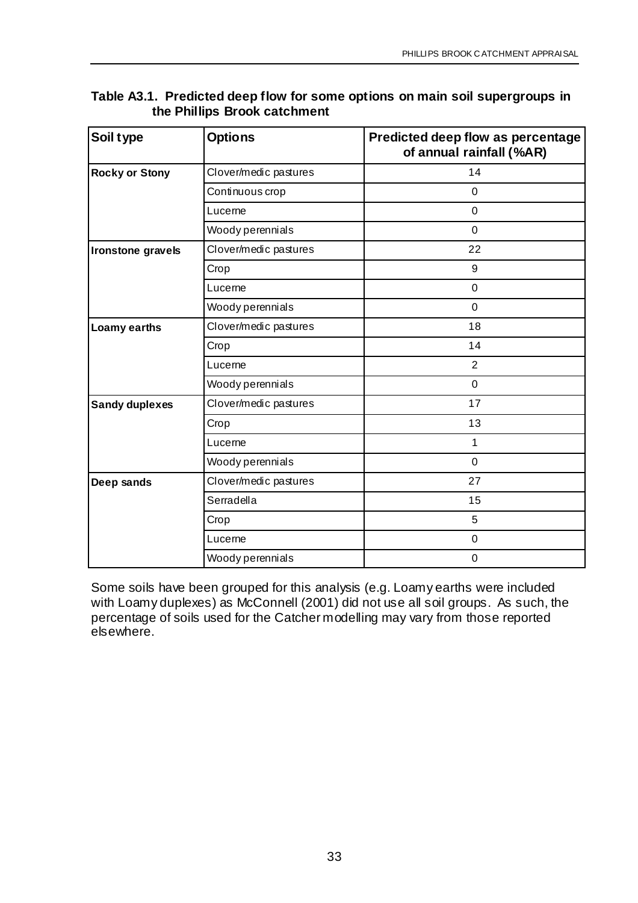| Soil type             | <b>Options</b>        | Predicted deep flow as percentage<br>of annual rainfall (%AR) |
|-----------------------|-----------------------|---------------------------------------------------------------|
| <b>Rocky or Stony</b> | Clover/medic pastures | 14                                                            |
|                       | Continuous crop       | $\mathbf 0$                                                   |
|                       | Lucerne               | $\mathbf 0$                                                   |
|                       | Woody perennials      | $\overline{0}$                                                |
| Ironstone gravels     | Clover/medic pastures | 22                                                            |
|                       | Crop                  | 9                                                             |
|                       | Lucerne               | $\mathbf 0$                                                   |
|                       | Woody perennials      | $\mathbf 0$                                                   |
| Loamy earths          | Clover/medic pastures | 18                                                            |
|                       | Crop                  | 14                                                            |
|                       | Lucerne               | $\overline{2}$                                                |
|                       | Woody perennials      | $\mathbf 0$                                                   |
| <b>Sandy duplexes</b> | Clover/medic pastures | 17                                                            |
|                       | Crop                  | 13                                                            |
|                       | Lucerne               | 1                                                             |
|                       | Woody perennials      | $\mathbf 0$                                                   |
| Deep sands            | Clover/medic pastures | 27                                                            |
|                       | Serradella            | 15                                                            |
|                       | Crop                  | 5                                                             |
|                       | Lucerne               | $\mathbf 0$                                                   |
|                       | Woody perennials      | $\mathbf 0$                                                   |

#### **Table A3.1. Predicted deep flow for some options on main soil supergroups in the Phillips Brook catchment**

Some soils have been grouped for this analysis (e.g. Loamy earths were included with Loamy duplexes) as McConnell (2001) did not use all soil groups. As such, the percentage of soils used for the Catcher modelling may vary from those reported elsewhere.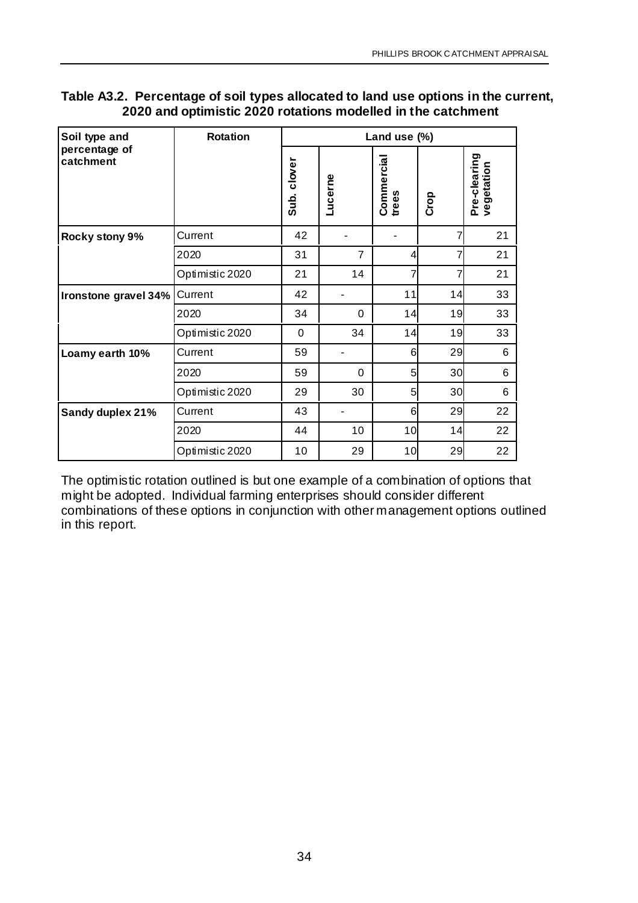| Soil type and              | <b>Rotation</b> | Land use (%) |                |                     |      |                            |
|----------------------------|-----------------|--------------|----------------|---------------------|------|----------------------------|
| percentage of<br>catchment |                 | Sub. clover  | Lucerne        | Commercial<br>trees | Crop | Pre-clearing<br>vegetation |
| Rocky stony 9%             | Current         | 42           |                |                     | 7    | 21                         |
|                            | 2020            | 31           | $\overline{7}$ | 4                   | 7    | 21                         |
|                            | Optimistic 2020 | 21           | 14             | 7                   |      | 21                         |
| Ironstone gravel 34%       | Current         | 42           |                | 11                  | 14   | 33                         |
|                            | 2020            | 34           | $\Omega$       | 14                  | 19   | 33                         |
|                            | Optimistic 2020 | $\Omega$     | 34             | 14                  | 19   | 33                         |
| Loamy earth 10%            | Current         | 59           |                | 6                   | 29   | 6                          |
|                            | 2020            | 59           | $\Omega$       | 5                   | 30   | 6                          |
|                            | Optimistic 2020 | 29           | 30             | 5                   | 30   | 6                          |
| Sandy duplex 21%           | Current         | 43           |                | 6                   | 29   | 22                         |
|                            | 2020            | 44           | 10             | 10                  | 14   | 22                         |
|                            | Optimistic 2020 | 10           | 29             | 10                  | 29   | 22                         |

#### **Table A3.2. Percentage of soil types allocated to land use options in the current, 2020 and optimistic 2020 rotations modelled in the catchment**

The optimistic rotation outlined is but one example of a combination of options that might be adopted. Individual farming enterprises should consider different combinations of these options in conjunction with other management options outlined in this report.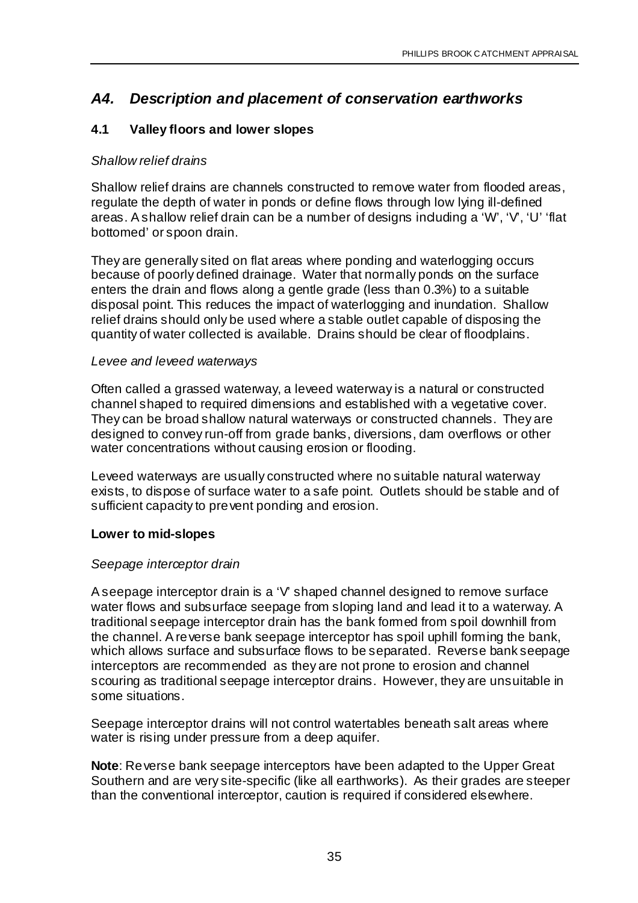## *A4. Description and placement of conservation earthworks*

#### **4.1 Valley floors and lower slopes**

#### *Shallow relief drains*

Shallow relief drains are channels constructed to remove water from flooded areas, regulate the depth of water in ponds or define flows through low lying ill-defined areas. A shallow relief drain can be a number of designs including a 'W', 'V', 'U' 'flat bottomed' or spoon drain.

They are generally sited on flat areas where ponding and waterlogging occurs because of poorly defined drainage. Water that normally ponds on the surface enters the drain and flows along a gentle grade (less than 0.3%) to a suitable disposal point. This reduces the impact of waterlogging and inundation. Shallow relief drains should only be used where a stable outlet capable of disposing the quantity of water collected is available. Drains should be clear of floodplains.

#### *Levee and leveed waterways*

Often called a grassed waterway, a leveed waterway is a natural or constructed channel shaped to required dimensions and established with a vegetative cover. They can be broad shallow natural waterways or constructed channels. They are designed to convey run-off from grade banks, diversions, dam overflows or other water concentrations without causing erosion or flooding.

Leveed waterways are usually constructed where no suitable natural waterway exists, to dispose of surface water to a safe point. Outlets should be stable and of sufficient capacity to prevent ponding and erosion.

#### **Lower to mid-slopes**

#### *Seepage interceptor drain*

A seepage interceptor drain is a 'V' shaped channel designed to remove surface water flows and subsurface seepage from sloping land and lead it to a waterway. A traditional seepage interceptor drain has the bank formed from spoil downhill from the channel. A reverse bank seepage interceptor has spoil uphill forming the bank, which allows surface and subsurface flows to be separated. Reverse bank seepage interceptors are recommended as they are not prone to erosion and channel scouring as traditional seepage interceptor drains. However, they are unsuitable in some situations.

Seepage interceptor drains will not control watertables beneath salt areas where water is rising under pressure from a deep aquifer.

**Note**: Reverse bank seepage interceptors have been adapted to the Upper Great Southern and are very site-specific (like all earthworks). As their grades are steeper than the conventional interceptor, caution is required if considered elsewhere.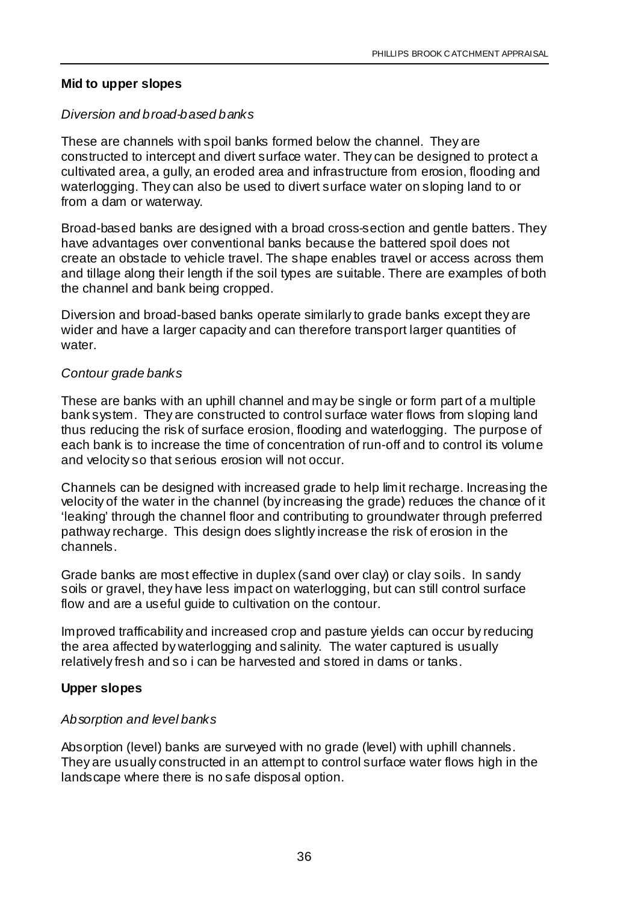#### **Mid to upper slopes**

#### *Diversion and broad-based banks*

These are channels with spoil banks formed below the channel. They are constructed to intercept and divert surface water. They can be designed to protect a cultivated area, a gully, an eroded area and infrastructure from erosion, flooding and waterlogging. They can also be used to divert surface water on sloping land to or from a dam or waterway.

Broad-based banks are designed with a broad cross-section and gentle batters. They have advantages over conventional banks because the battered spoil does not create an obstacle to vehicle travel. The shape enables travel or access across them and tillage along their length if the soil types are suitable. There are examples of both the channel and bank being cropped.

Diversion and broad-based banks operate similarly to grade banks except they are wider and have a larger capacity and can therefore transport larger quantities of water.

#### *Contour grade banks*

These are banks with an uphill channel and may be single or form part of a multiple bank system. They are constructed to control surface water flows from sloping land thus reducing the risk of surface erosion, flooding and waterlogging. The purpose of each bank is to increase the time of concentration of run-off and to control its volume and velocity so that serious erosion will not occur.

Channels can be designed with increased grade to help limit recharge. Increasing the velocity of the water in the channel (by increasing the grade) reduces the chance of it 'leaking' through the channel floor and contributing to groundwater through preferred pathway recharge. This design does slightly increase the risk of erosion in the channels.

Grade banks are most effective in duplex (sand over clay) or clay soils. In sandy soils or gravel, they have less impact on waterlogging, but can still control surface flow and are a useful guide to cultivation on the contour.

Improved trafficability and increased crop and pasture yields can occur by reducing the area affected by waterlogging and salinity. The water captured is usually relatively fresh and so i can be harvested and stored in dams or tanks.

#### **Upper slopes**

#### *Absorption and level banks*

Absorption (level) banks are surveyed with no grade (level) with uphill channels. They are usually constructed in an attempt to control surface water flows high in the landscape where there is no safe disposal option.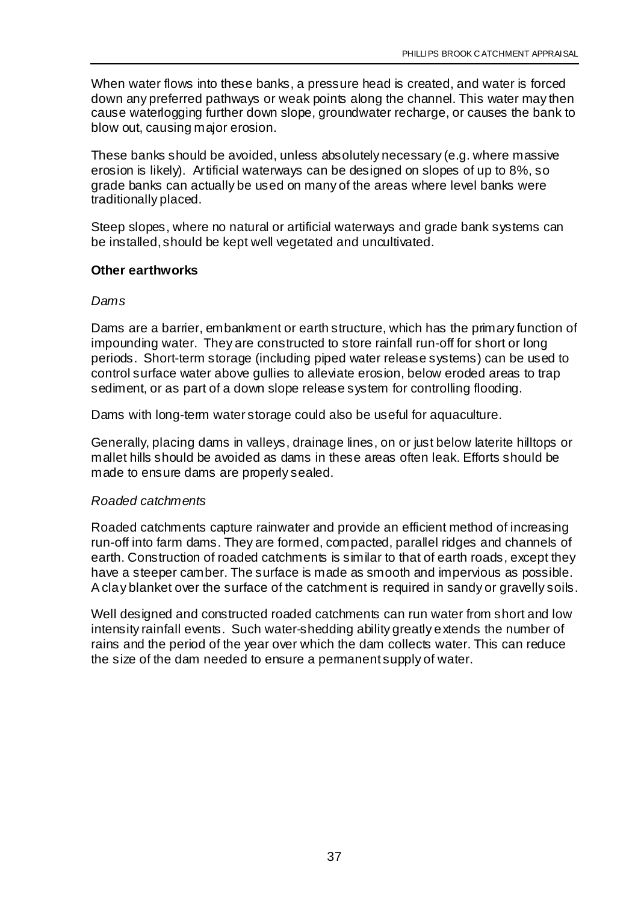When water flows into these banks, a pressure head is created, and water is forced down any preferred pathways or weak points along the channel. This water may then cause waterlogging further down slope, groundwater recharge, or causes the bank to blow out, causing major erosion.

These banks should be avoided, unless absolutely necessary (e.g. where massive erosion is likely). Artificial waterways can be designed on slopes of up to 8%, so grade banks can actually be used on many of the areas where level banks were traditionally placed.

Steep slopes, where no natural or artificial waterways and grade bank systems can be installed, should be kept well vegetated and uncultivated.

#### **Other earthworks**

#### *Dams*

Dams are a barrier, embankment or earth structure, which has the primary function of impounding water. They are constructed to store rainfall run-off for short or long periods. Short-term storage (including piped water release systems) can be used to control surface water above gullies to alleviate erosion, below eroded areas to trap sediment, or as part of a down slope release system for controlling flooding.

Dams with long-term water storage could also be useful for aquaculture.

Generally, placing dams in valleys, drainage lines, on or just below laterite hilltops or mallet hills should be avoided as dams in these areas often leak. Efforts should be made to ensure dams are properly sealed.

#### *Roaded catchments*

Roaded catchments capture rainwater and provide an efficient method of increasing run-off into farm dams. They are formed, compacted, parallel ridges and channels of earth. Construction of roaded catchments is similar to that of earth roads, except they have a steeper camber. The surface is made as smooth and impervious as possible. A clay blanket over the surface of the catchment is required in sandy or gravelly soils.

Well designed and constructed roaded catchments can run water from short and low intensity rainfall events. Such water-shedding ability greatly extends the number of rains and the period of the year over which the dam collects water. This can reduce the size of the dam needed to ensure a permanent supply of water.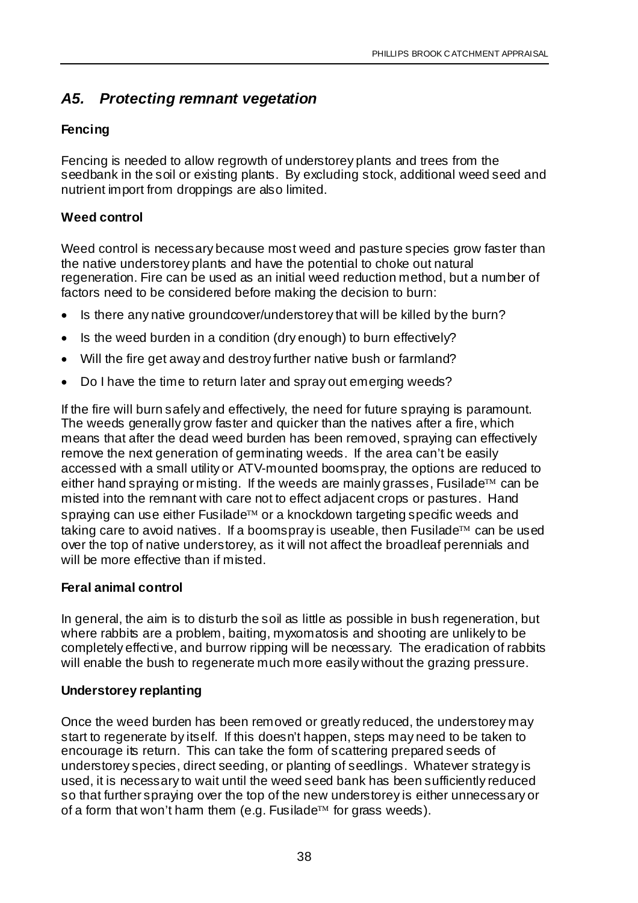#### *A5. Protecting remnant vegetation*

#### **Fencing**

Fencing is needed to allow regrowth of understorey plants and trees from the seedbank in the soil or existing plants. By excluding stock, additional weed seed and nutrient import from droppings are also limited.

#### **Weed control**

Weed control is necessary because most weed and pasture species grow faster than the native understorey plants and have the potential to choke out natural regeneration. Fire can be used as an initial weed reduction method, but a number of factors need to be considered before making the decision to burn:

- Is there any native groundcover/understorey that will be killed by the burn?
- Is the weed burden in a condition (dry enough) to burn effectively?
- Will the fire get away and destroy further native bush or farmland?
- Do I have the time to return later and spray out emerging weeds?

If the fire will burn safely and effectively, the need for future spraying is paramount. The weeds generally grow faster and quicker than the natives after a fire, which means that after the dead weed burden has been removed, spraying can effectively remove the next generation of germinating weeds. If the area can't be easily accessed with a small utility or ATV-mounted boomspray, the options are reduced to either hand spraying or misting. If the weeds are mainly grasses, Fusilade<sup> $TM$ </sup> can be misted into the remnant with care not to effect adjacent crops or pastures. Hand spraying can use either Fusilade<sup>TM</sup> or a knockdown targeting specific weeds and taking care to avoid natives. If a boomspray is useable, then Fusilade<sup>TM</sup> can be used over the top of native understorey, as it will not affect the broadleaf perennials and will be more effective than if misted.

#### **Feral animal control**

In general, the aim is to disturb the soil as little as possible in bush regeneration, but where rabbits are a problem, baiting, myxomatosis and shooting are unlikely to be completely effective, and burrow ripping will be necessary. The eradication of rabbits will enable the bush to regenerate much more easily without the grazing pressure.

#### **Understorey replanting**

Once the weed burden has been removed or greatly reduced, the understorey may start to regenerate by itself. If this doesn't happen, steps may need to be taken to encourage its return. This can take the form of scattering prepared seeds of understorey species, direct seeding, or planting of seedlings. Whatever strategy is used, it is necessary to wait until the weed seed bank has been sufficiently reduced so that further spraying over the top of the new understorey is either unnecessary or of a form that won't harm them (e.g. Fusilade<sup> $m$ </sup> for grass weeds).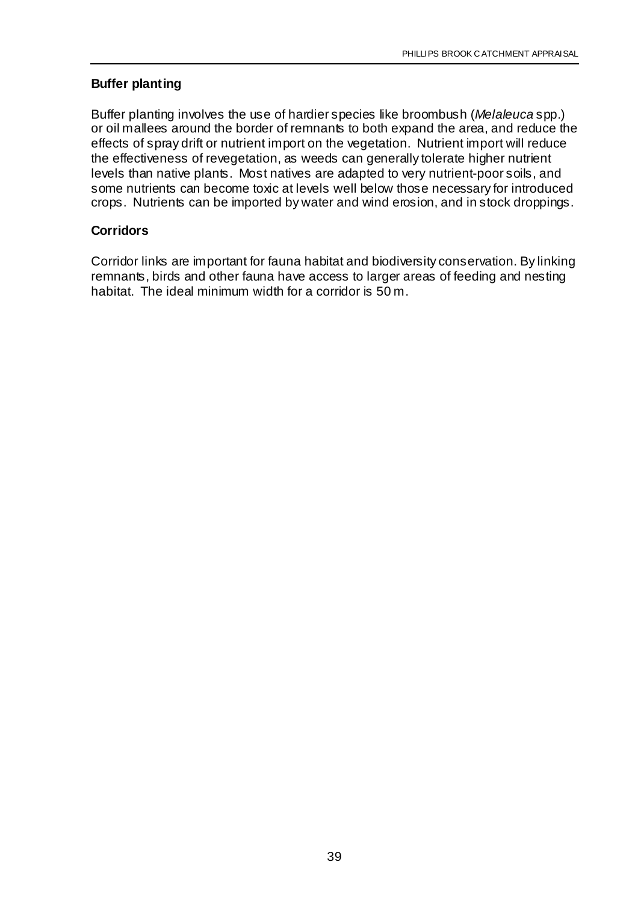#### **Buffer planting**

Buffer planting involves the use of hardier species like broombush (*Melaleuca* spp.) or oil mallees around the border of remnants to both expand the area, and reduce the effects of spray drift or nutrient import on the vegetation. Nutrient import will reduce the effectiveness of revegetation, as weeds can generally tolerate higher nutrient levels than native plants. Most natives are adapted to very nutrient-poor soils, and some nutrients can become toxic at levels well below those necessary for introduced crops. Nutrients can be imported by water and wind erosion, and in stock droppings.

#### **Corridors**

Corridor links are important for fauna habitat and biodiversity conservation. By linking remnants, birds and other fauna have access to larger areas of feeding and nesting habitat. The ideal minimum width for a corridor is 50 m.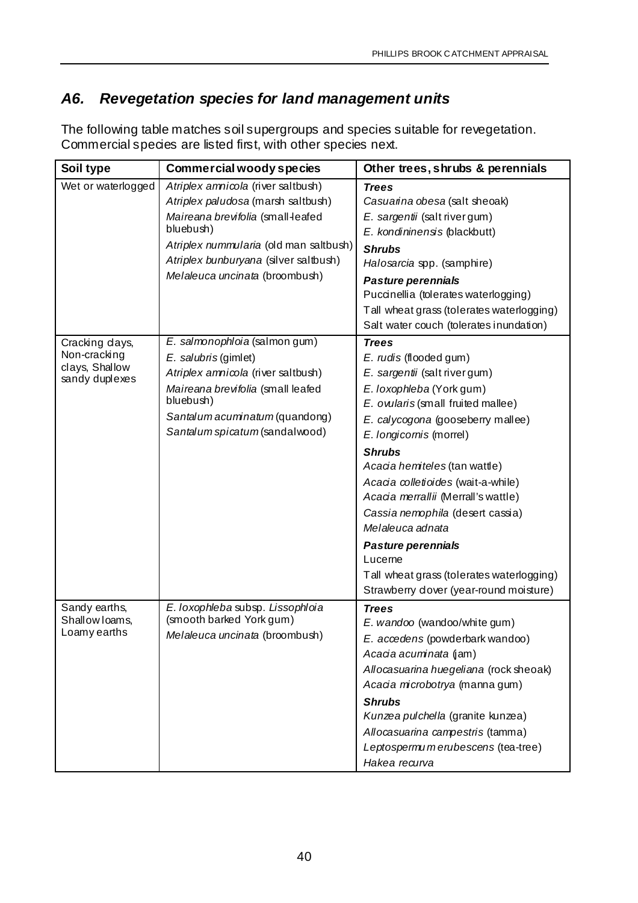## *A6. Revegetation species for land management units*

The following table matches soil supergroups and species suitable for revegetation. Commercial species are listed first, with other species next.

| Soil type                                                          | <b>Commercial woody species</b>                                                                                                                                                                                                                 | Other trees, shrubs & perennials                                                                                                                                                                                                                                                                                                                                                                                                                                                                                        |
|--------------------------------------------------------------------|-------------------------------------------------------------------------------------------------------------------------------------------------------------------------------------------------------------------------------------------------|-------------------------------------------------------------------------------------------------------------------------------------------------------------------------------------------------------------------------------------------------------------------------------------------------------------------------------------------------------------------------------------------------------------------------------------------------------------------------------------------------------------------------|
| Wet or waterlogged                                                 | Atriplex amnicola (river saltbush)<br>Atriplex paludosa (marsh saltbush)<br>Maireana brevifolia (small-leafed<br>bluebush)<br>Atriplex nummularia (old man saltbush)<br>Atriplex bunburyana (silver saltbush)<br>Melaleuca uncinata (broombush) | <b>Trees</b><br>Casuarina obesa (salt sheoak)<br>E. sargentii (salt river gum)<br>E. kondininensis (blackbutt)<br><b>Shrubs</b><br>Halosarcia spp. (samphire)<br>Pasture perennials<br>Puccinellia (tolerates waterlogging)<br>Tall wheat grass (tolerates waterlogging)<br>Salt water couch (tolerates inundation)                                                                                                                                                                                                     |
| Cracking days,<br>Non-cracking<br>clays, Shallow<br>sandy duplexes | E. salmonophloia (salmon gum)<br>E. salubris (gimlet)<br>Atriplex amnicola (river saltbush)<br>Maireana brevifolia (small leafed<br>bluebush)<br>Santalum acuminatum (quandong)<br>Santalum spicatum (sandalwood)                               | <b>Trees</b><br>E. rudis (flooded gum)<br>E. sargentii (salt river gum)<br>E. loxophleba (York gum)<br>E. owlaris (small fruited mallee)<br>E. calycogona (gooseberry mallee)<br>E. longicornis (morrel)<br><b>Shrubs</b><br>Acacia hemiteles (tan wattle)<br>Acacia colletioides (wait-a-while)<br>Acacia merrallii (Merrall's wattle)<br>Cassia nemophila (desert cassia)<br>Melaleuca adnata<br>Pasture perennials<br>Lucerne<br>Tall wheat grass (tolerates waterlogging)<br>Strawberry dover (year-round moisture) |
| Sandy earths,<br>Shallow Ioams,<br>Loamy earths                    | E. loxophleba subsp. Lissophloia<br>(smooth barked York gum)<br>Melaleuca uncinata (broombush)                                                                                                                                                  | <b>Trees</b><br>E. wandoo (wandoo/white gum)<br>E. accedens (powderbark wandoo)<br>Acacia acuminata (jam)<br>Allocasuarina huegeliana (rock sheoak)<br>Acacia microbotrya (manna gum)<br><b>Shrubs</b><br>Kunzea pulchella (granite kunzea)<br>Allocasuarina campestris (tamma)<br>Leptospermumerubescens (tea-tree)<br>Hakea recurva                                                                                                                                                                                   |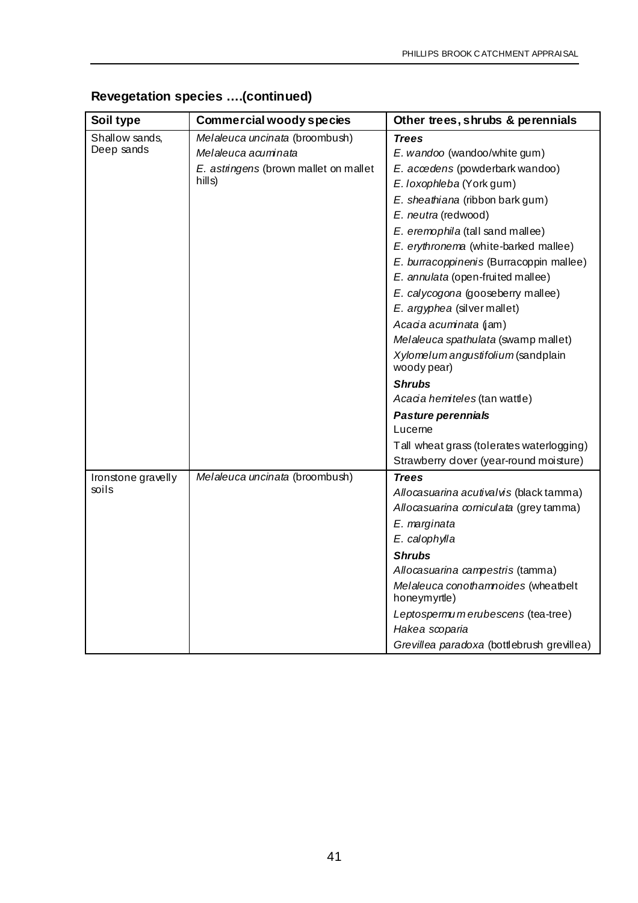| Soil type          | <b>Commercial woody species</b>       | Other trees, shrubs & perennials                    |
|--------------------|---------------------------------------|-----------------------------------------------------|
| Shallow sands,     | Melaleuca uncinata (broombush)        | <b>Trees</b>                                        |
| Deep sands         | Melaleuca acuminata                   | E. wandoo (wandoo/white gum)                        |
|                    | E. astringens (brown mallet on mallet | E. accedens (powderbark wandoo)                     |
|                    | hills)                                | E. loxophleba (York gum)                            |
|                    |                                       | E. sheathiana (ribbon bark gum)                     |
|                    |                                       | E. neutra (redwood)                                 |
|                    |                                       | E. eremophila (tall sand mallee)                    |
|                    |                                       | E. erythronema (white-barked mallee)                |
|                    |                                       | E. burracoppinenis (Burracoppin mallee)             |
|                    |                                       | E. annulata (open-fruited mallee)                   |
|                    |                                       | E. calycogona (gooseberry mallee)                   |
|                    |                                       | E. argyphea (silver mallet)                         |
|                    |                                       | Acacia acuminata (jam)                              |
|                    |                                       | Melaleuca spathulata (swamp mallet)                 |
|                    |                                       | Xylomelum angustifolium (sandplain<br>woody pear)   |
|                    |                                       | <b>Shrubs</b>                                       |
|                    |                                       | Acacia hemiteles (tan wattle)                       |
|                    |                                       | Pasture perennials                                  |
|                    |                                       | Lucerne                                             |
|                    |                                       | Tall wheat grass (tolerates waterlogging)           |
|                    |                                       | Strawberry dover (year-round moisture)              |
| Ironstone gravelly | Melaleuca uncinata (broombush)        | <b>Trees</b>                                        |
| soils              |                                       | Allocasuarina acutivalvis (black tamma)             |
|                    |                                       | Allocasuarina corniculata (grey tamma)              |
|                    |                                       | E. marginata                                        |
|                    |                                       | E. calophylla                                       |
|                    |                                       | <b>Shrubs</b>                                       |
|                    |                                       | Allocasuarina campestris (tamma)                    |
|                    |                                       | Melaleuca conotharmoides (wheatbelt<br>honeymyrtle) |
|                    |                                       | Leptospermumerubescens (tea-tree)                   |
|                    |                                       | Hakea scoparia                                      |
|                    |                                       | Grevillea paradoxa (bottlebrush grevillea)          |

## **Revegetation species ….(continued)**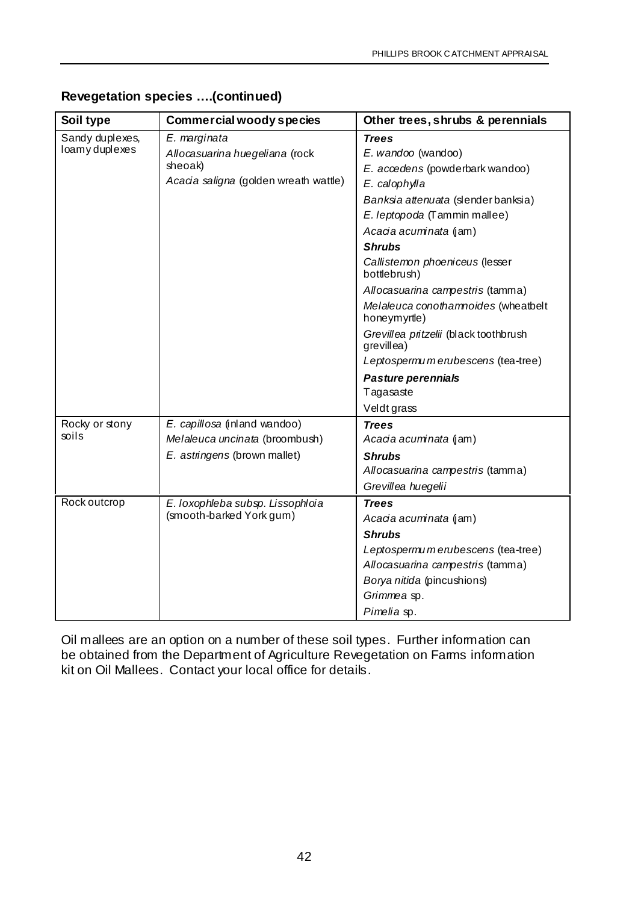| Soil type       | <b>Commercial woody species</b>       | Other trees, shrubs & perennials                    |
|-----------------|---------------------------------------|-----------------------------------------------------|
| Sandy duplexes, | E. marginata                          | <b>Trees</b>                                        |
| loamy duplexes  | Allocasuarina huegeliana (rock        | E. wandoo (wandoo)                                  |
|                 | sheoak)                               | E. accedens (powderbark wandoo)                     |
|                 | Acacia saligna (golden wreath wattle) | E. calophylla                                       |
|                 |                                       | Banksia attenuata (slender banksia)                 |
|                 |                                       | E. leptopoda (Tammin mallee)                        |
|                 |                                       | Acacia acuminata (jam)                              |
|                 |                                       | <b>Shrubs</b>                                       |
|                 |                                       | Callistemon phoeniceus (lesser<br>bottlebrush)      |
|                 |                                       | Allocasuarina campestris (tamma)                    |
|                 |                                       | Melaleuca conotharmoides (wheatbelt<br>honeymyrtle) |
|                 |                                       | Grevillea pritzelii (black toothbrush<br>grevillea) |
|                 |                                       | Leptospermumerubescens (tea-tree)                   |
|                 |                                       | Pasture perennials                                  |
|                 |                                       | Tagasaste                                           |
|                 |                                       | Veldt grass                                         |
| Rocky or stony  | E. capillosa (inland wandoo)          | <b>Trees</b>                                        |
| soils           | Melaleuca uncinata (broombush)        | Acacia acuminata (jam)                              |
|                 | E. astringens (brown mallet)          | <b>Shrubs</b>                                       |
|                 |                                       | Allocasuarina campestris (tamma)                    |
|                 |                                       | Grevillea huegelii                                  |
| Rock outcrop    | E. loxophleba subsp. Lissophloia      | <b>Trees</b>                                        |
|                 | (smooth-barked York gum)              | Acacia acuminata (jam)                              |
|                 |                                       | <b>Shrubs</b>                                       |
|                 |                                       | Leptospermumerubescens (tea-tree)                   |
|                 |                                       | Allocasuarina campestris (tamma)                    |
|                 |                                       | Borya nitida (pincushions)                          |
|                 |                                       | Grimmea sp.                                         |
|                 |                                       | Pimelia sp.                                         |

#### **Revegetation species ….(continued)**

Oil mallees are an option on a number of these soil types. Further information can be obtained from the Department of Agriculture Revegetation on Farms information kit on Oil Mallees. Contact your local office for details.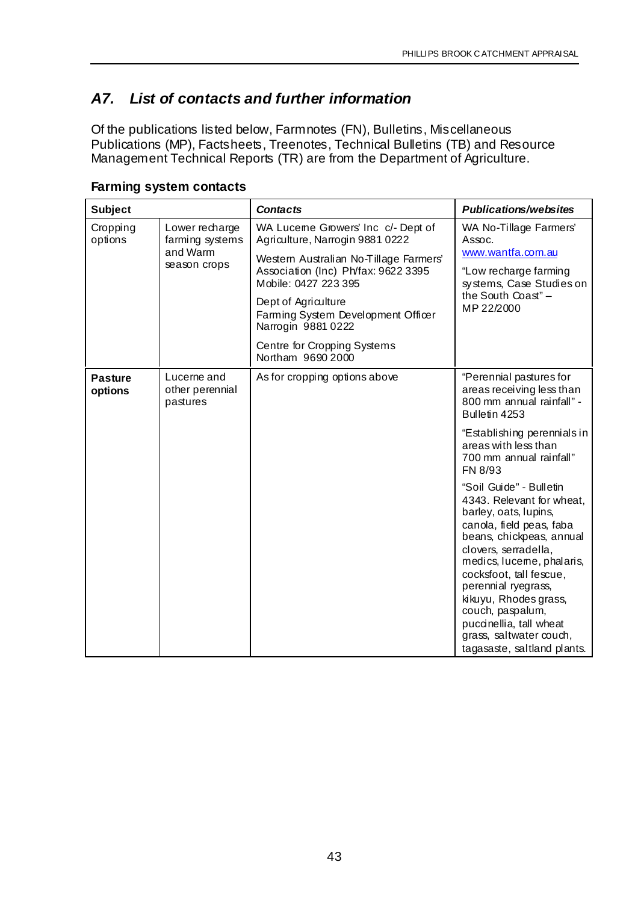## *A7. List of contacts and further information*

Of the publications listed below, Farmnotes (FN), Bulletins, Miscellaneous Publications (MP), Factsheets, Treenotes, Technical Bulletins (TB) and Resource Management Technical Reports (TR) are from the Department of Agriculture.

| <b>Subject</b>            |                                            | <b>Contacts</b>                                                                                       | <b>Publications/websites</b>                                                                                                                                                                                                                                                                                                                                                   |
|---------------------------|--------------------------------------------|-------------------------------------------------------------------------------------------------------|--------------------------------------------------------------------------------------------------------------------------------------------------------------------------------------------------------------------------------------------------------------------------------------------------------------------------------------------------------------------------------|
| Cropping<br>options       | Lower recharge<br>farming systems          | WA Luceme Growers' Inc c/- Dept of<br>Agriculture, Narrogin 9881 0222                                 | WA No-Tillage Farmers'<br>Assoc.                                                                                                                                                                                                                                                                                                                                               |
|                           | and Warm<br>season crops                   | Western Australian No-Tillage Farmers'<br>Association (Inc) Ph/fax: 9622 3395<br>Mobile: 0427 223 395 | www.wantfa.com.au<br>"Low recharge farming<br>systems, Case Studies on                                                                                                                                                                                                                                                                                                         |
|                           |                                            | Dept of Agriculture<br>Farming System Development Officer<br>Narrogin 9881 0222                       | the South Coast" -<br>MP 22/2000                                                                                                                                                                                                                                                                                                                                               |
|                           |                                            | Centre for Cropping Systems<br>Northam 9690 2000                                                      |                                                                                                                                                                                                                                                                                                                                                                                |
| <b>Pasture</b><br>options | Lucerne and<br>other perennial<br>pastures | As for cropping options above                                                                         | "Perennial pastures for<br>areas receiving less than<br>800 mm annual rainfall" -<br>Bulletin 4253                                                                                                                                                                                                                                                                             |
|                           |                                            |                                                                                                       | "Establishing perennials in<br>areas with less than<br>700 mm annual rainfall"<br>FN 8/93                                                                                                                                                                                                                                                                                      |
|                           |                                            |                                                                                                       | "Soil Guide" - Bulletin<br>4343. Relevant for wheat,<br>barley, oats, lupins,<br>canola, field peas, faba<br>beans, chickpeas, annual<br>clovers, serradella,<br>medics, luceme, phalaris,<br>cocksfoot, tall fescue,<br>perennial ryegrass,<br>kikuyu, Rhodes grass,<br>couch, paspalum,<br>puccinellia, tall wheat<br>grass, saltwater couch,<br>tagasaste, saltland plants. |

#### **Farming system contacts**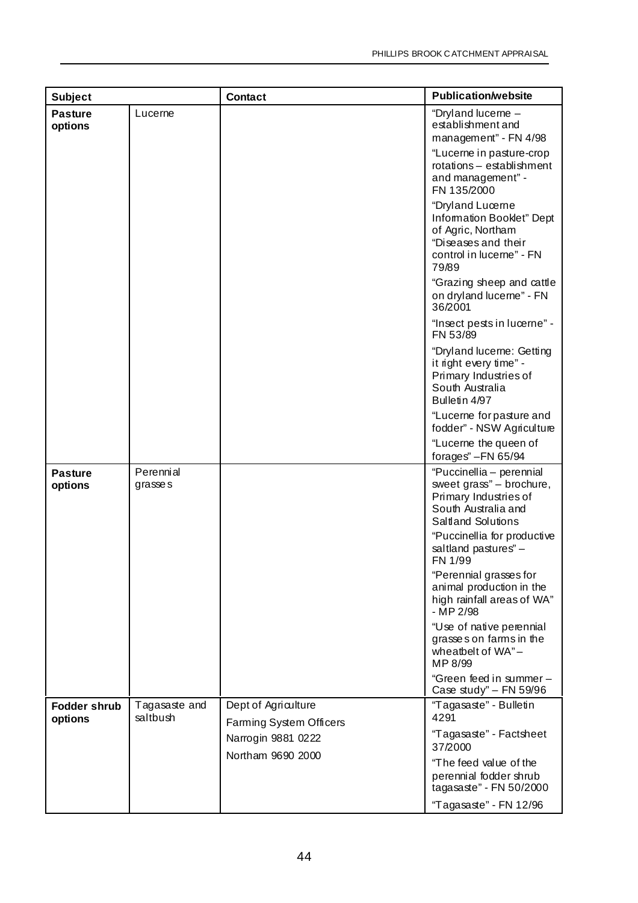| <b>Subject</b>                 |                           | <b>Contact</b>                                 | <b>Publication/website</b>                                                                                                                                                                   |
|--------------------------------|---------------------------|------------------------------------------------|----------------------------------------------------------------------------------------------------------------------------------------------------------------------------------------------|
| <b>Pasture</b><br>options      | Lucerne                   |                                                | "Dryland lucerne -<br>establishment and<br>management" - FN 4/98<br>"Lucerne in pasture-crop<br>rotations - establishment                                                                    |
|                                |                           |                                                | and management" -<br>FN 135/2000                                                                                                                                                             |
|                                |                           |                                                | "Dryland Lucerne<br>Information Booklet" Dept<br>of Agric, Northam<br>"Diseases and their<br>control in lucerne" - FN<br>79/89                                                               |
|                                |                           |                                                | "Grazing sheep and cattle<br>on dryland lucerne" - FN<br>36/2001                                                                                                                             |
|                                |                           |                                                | "Insect pests in lucerne" -<br>FN 53/89                                                                                                                                                      |
|                                |                           |                                                | "Dryland lucerne: Getting<br>it right every time" -<br>Primary Industries of<br>South Australia<br>Bulletin 4/97                                                                             |
|                                |                           |                                                | "Lucerne for pasture and<br>fodder" - NSW Agriculture                                                                                                                                        |
|                                |                           |                                                | "Lucerne the queen of<br>forages" $-FN$ 65/94                                                                                                                                                |
| <b>Pasture</b><br>options      | Perennial<br>grasses      |                                                | "Puccinellia - perennial<br>sweet grass" - brochure,<br>Primary Industries of<br>South Australia and<br>Saltland Solutions<br>"Puccinellia for productive<br>saltland pastures" -<br>FN 1/99 |
|                                |                           |                                                | "Perennial grasses for<br>animal production in the<br>high rainfall areas of WA"<br>- MP 2/98                                                                                                |
|                                |                           |                                                | "Use of native perennial<br>grasses on farms in the<br>wheatbelt of WA"-<br>MP 8/99                                                                                                          |
|                                |                           |                                                | "Green feed in summer -<br>Case study" - FN 59/96                                                                                                                                            |
| <b>Fodder shrub</b><br>options | Tagasaste and<br>saltbush | Dept of Agriculture<br>Farming System Officers | "Tagasaste" - Bulletin<br>4291                                                                                                                                                               |
|                                |                           | Narrogin 9881 0222                             | "Tagasaste" - Factsheet<br>37/2000                                                                                                                                                           |
|                                |                           | Northam 9690 2000                              | "The feed value of the<br>perennial fodder shrub<br>tagasaste" - FN 50/2000                                                                                                                  |
|                                |                           |                                                | "Tagasaste" - FN 12/96                                                                                                                                                                       |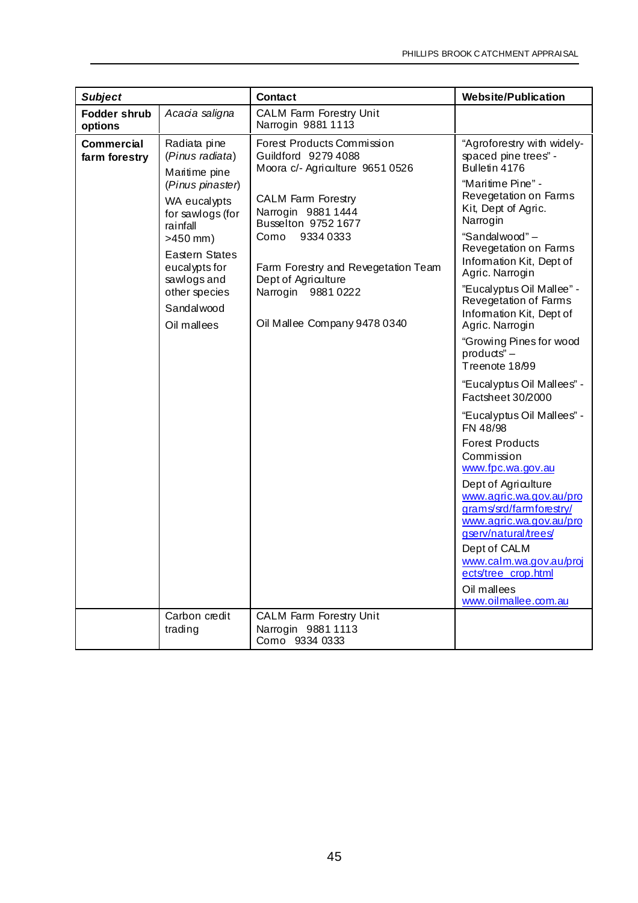| <b>Subject</b>                     |                                                                                                                                                                                                                                                            | <b>Contact</b>                                                                                                                                                                                                                                                                                                                           | <b>Website/Publication</b>                                                                                                                                                                                                                                                                                                                                                                                                                                                                                                                                                                                                                                                                                                                                                                                             |
|------------------------------------|------------------------------------------------------------------------------------------------------------------------------------------------------------------------------------------------------------------------------------------------------------|------------------------------------------------------------------------------------------------------------------------------------------------------------------------------------------------------------------------------------------------------------------------------------------------------------------------------------------|------------------------------------------------------------------------------------------------------------------------------------------------------------------------------------------------------------------------------------------------------------------------------------------------------------------------------------------------------------------------------------------------------------------------------------------------------------------------------------------------------------------------------------------------------------------------------------------------------------------------------------------------------------------------------------------------------------------------------------------------------------------------------------------------------------------------|
| <b>Fodder shrub</b><br>options     | Acacia saligna                                                                                                                                                                                                                                             | <b>CALM Farm Forestry Unit</b><br>Narrogin 9881 1113                                                                                                                                                                                                                                                                                     |                                                                                                                                                                                                                                                                                                                                                                                                                                                                                                                                                                                                                                                                                                                                                                                                                        |
| <b>Commercial</b><br>farm forestry | Radiata pine<br>(Pinus radiata)<br>Maritime pine<br>(Pinus pinaster)<br>WA eucalypts<br>for sawlogs (for<br>rainfall<br>$>450$ mm)<br><b>Eastern States</b><br>eucalypts for<br>sawlogs and<br>other species<br>Sandalwood<br>Oil mallees<br>Carbon credit | Forest Products Commission<br>Guildford 9279 4088<br>Moora c/- Agriculture 9651 0526<br><b>CALM Farm Forestry</b><br>Narrogin 9881 1444<br>Busselton 9752 1677<br>93340333<br>Como<br>Farm Forestry and Revegetation Team<br>Dept of Agriculture<br>Narrogin 9881 0222<br>Oil Mallee Company 9478 0340<br><b>CALM Farm Forestry Unit</b> | "Agroforestry with widely-<br>spaced pine trees" -<br>Bulletin 4176<br>"Maritime Pine" -<br>Revegetation on Farms<br>Kit, Dept of Agric.<br>Narrogin<br>"Sandalwood"-<br>Revegetation on Farms<br>Information Kit, Dept of<br>Agric. Narrogin<br>"Eucalyptus Oil Mallee" -<br>Revegetation of Farms<br>Information Kit, Dept of<br>Agric. Narrogin<br>"Growing Pines for wood<br>$products$ " $-$<br>Treenote 18/99<br>"Eucalyptus Oil Mallees" -<br>Factsheet 30/2000<br>"Eucalyptus Oil Mallees" -<br>FN 48/98<br><b>Forest Products</b><br>Commission<br>www.fpc.wa.gov.au<br>Dept of Agriculture<br>www.agric.wa.gov.au/pro<br>grams/srd/farmforestry/<br>www.agric.wa.gov.au/pro<br>gserv/natural/trees/<br>Dept of CALM<br>www.calm.wa.gov.au/proj<br>ects/tree_crop.html<br>Oil mallees<br>www.oilmallee.com.au |
|                                    | trading                                                                                                                                                                                                                                                    | Narrogin 9881 1113<br>Como 9334 0333                                                                                                                                                                                                                                                                                                     |                                                                                                                                                                                                                                                                                                                                                                                                                                                                                                                                                                                                                                                                                                                                                                                                                        |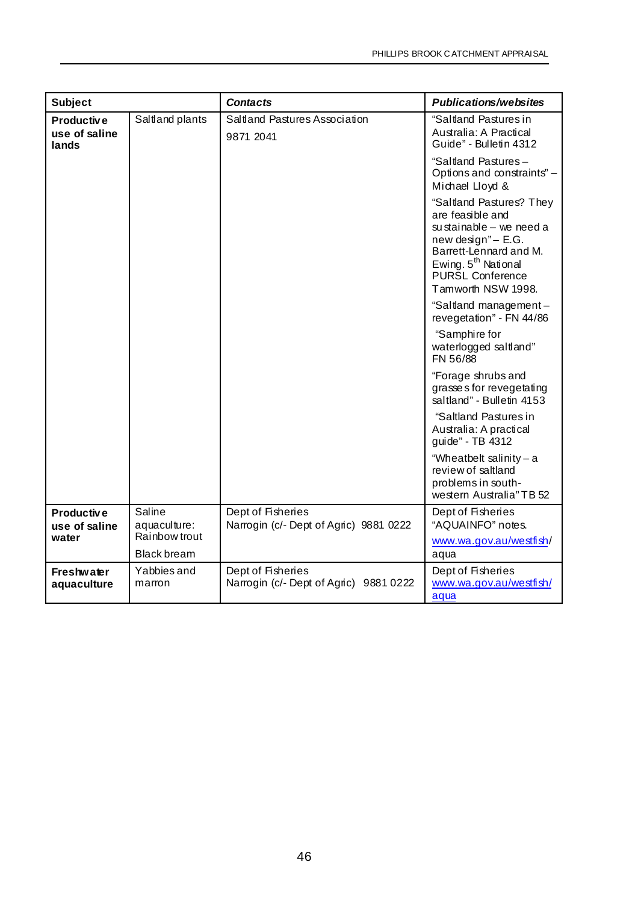| <b>Subject</b>                       |                        | <b>Contacts</b>                                             | <b>Publications/websites</b>                                                                                                                                                                            |
|--------------------------------------|------------------------|-------------------------------------------------------------|---------------------------------------------------------------------------------------------------------------------------------------------------------------------------------------------------------|
| Productive<br>use of saline<br>lands | Saltland plants        | Saltland Pastures Association<br>9871 2041                  | "Saltland Pastures in<br>Australia: A Practical<br>Guide" - Bulletin 4312                                                                                                                               |
|                                      |                        |                                                             | "Saltland Pastures-<br>Options and constraints" -<br>Michael Lloyd &                                                                                                                                    |
|                                      |                        |                                                             | "Saltland Pastures? They<br>are feasible and<br>su stainable $-$ we need a<br>new design" - E.G.<br>Barrett-Lennard and M.<br>Ewing. 5 <sup>th</sup> National<br>PURŠL Conference<br>Tamworth NSW 1998. |
|                                      |                        |                                                             | "Saltland management-<br>revegetation" - FN 44/86                                                                                                                                                       |
|                                      |                        |                                                             | "Samphire for<br>waterlogged saltland"<br>FN 56/88                                                                                                                                                      |
|                                      |                        |                                                             | "Forage shrubs and<br>grasses for revegetating<br>saltland" - Bulletin 4153<br>"Saltland Pastures in<br>Australia: A practical                                                                          |
|                                      |                        |                                                             | guide" - TB 4312                                                                                                                                                                                        |
|                                      |                        |                                                             | "Wheatbelt salinity-a<br>review of saltland<br>problems in south-<br>western Australia" TB 52                                                                                                           |
| <b>Productive</b><br>use of saline   | Saline<br>aquaculture: | Dept of Fisheries<br>Narrogin (c/- Dept of Agric) 9881 0222 | Dept of Fisheries<br>"AQUAINFO" notes.                                                                                                                                                                  |
| water                                | Rainbow trout          |                                                             | www.wa.gov.au/westfish/                                                                                                                                                                                 |
|                                      | <b>Black bream</b>     |                                                             | aqua                                                                                                                                                                                                    |
| <b>Freshwater</b><br>aquaculture     | Yabbies and<br>marron  | Dept of Fisheries<br>Narrogin (c/- Dept of Agric) 9881 0222 | Dept of Fisheries<br>www.wa.gov.au/westfish/<br>aqua                                                                                                                                                    |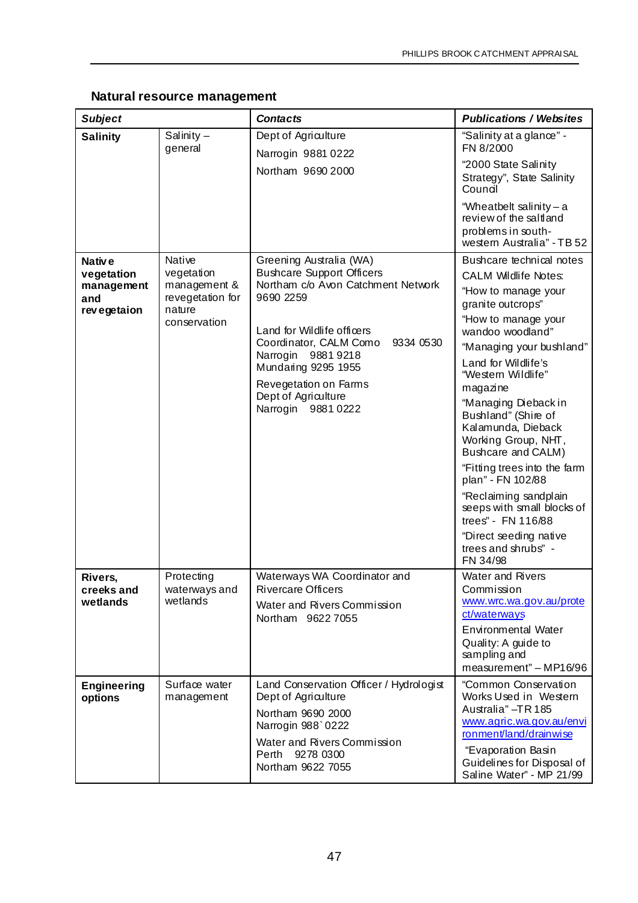#### **Natural resource management**

| <b>Subject</b>                                                       |                                                                                    | <b>Contacts</b>                                                                                                                                                                                                                                                                                        | <b>Publications / Websites</b>                                                                                                                                                                                                                                                                                                                                                                                                                                                                                                                       |
|----------------------------------------------------------------------|------------------------------------------------------------------------------------|--------------------------------------------------------------------------------------------------------------------------------------------------------------------------------------------------------------------------------------------------------------------------------------------------------|------------------------------------------------------------------------------------------------------------------------------------------------------------------------------------------------------------------------------------------------------------------------------------------------------------------------------------------------------------------------------------------------------------------------------------------------------------------------------------------------------------------------------------------------------|
| <b>Salinity</b>                                                      | Salinity $-$<br>general                                                            | Dept of Agriculture<br>Narrogin 9881 0222<br>Northam 9690 2000                                                                                                                                                                                                                                         | "Salinity at a glance" -<br>FN 8/2000<br>"2000 State Salinity<br>Strategy", State Salinity<br>Council<br>"Wheatbelt salinity-a                                                                                                                                                                                                                                                                                                                                                                                                                       |
|                                                                      |                                                                                    |                                                                                                                                                                                                                                                                                                        | review of the saltland<br>problems in south-<br>western Australia" - TB 52                                                                                                                                                                                                                                                                                                                                                                                                                                                                           |
| Nativ <sub>e</sub><br>vegetation<br>management<br>and<br>revegetaion | Native<br>vegetation<br>management &<br>revegetation for<br>nature<br>conservation | Greening Australia (WA)<br><b>Bushcare Support Officers</b><br>Northam c/o Avon Catchment Network<br>9690 2259<br>Land for Wildlife officers<br>Coordinator, CALM Como<br>9334 0530<br>Narrogin 9881 9218<br>Mundaring 9295 1955<br>Revegetation on Farms<br>Dept of Agriculture<br>Narrogin 9881 0222 | Bushcare technical notes<br><b>CALM Wildlife Notes:</b><br>"How to manage your<br>granite outcrops"<br>"How to manage your<br>wandoo woodland"<br>"Managing your bushland"<br>Land for Wildlife's<br>"Western Wildlife"<br>magazine<br>"Managing Dieback in<br>Bushland" (Shire of<br>Kalamunda, Dieback<br>Working Group, NHT,<br>Bushcare and CALM)<br>"Fitting trees into the farm<br>plan" - FN 102/88<br>"Reclaiming sandplain<br>seeps with small blocks of<br>trees" - FN 116/88<br>"Direct seeding native<br>trees and shrubs" -<br>FN 34/98 |
| Rivers,<br>creeks and<br>wetlands                                    | Protecting<br>waterways and<br>wetlands                                            | Waterways WA Coordinator and<br><b>Rivercare Officers</b><br>Water and Rivers Commission<br>Northam 96227055                                                                                                                                                                                           | Water and Rivers<br>Commission<br>www.wrc.wa.gov.au/prote<br>ct/waterways<br>Environmental Water<br>Quality: A guide to<br>sampling and<br>measurement" - MP16/96                                                                                                                                                                                                                                                                                                                                                                                    |
| <b>Engineering</b><br>options                                        | Surface water<br>management                                                        | Land Conservation Officer / Hydrologist<br>Dept of Agriculture<br>Northam 9690 2000<br>Narrogin 988`0222<br>Water and Rivers Commission<br>Perth 9278 0300<br>Northam 9622 7055                                                                                                                        | "Common Conservation<br>Works Used in Western<br>Australia" - TR 185<br>www.agric.wa.gov.au/envi<br>ronment/land/drainwise<br>"Evaporation Basin<br>Guidelines for Disposal of<br>Saline Water" - MP 21/99                                                                                                                                                                                                                                                                                                                                           |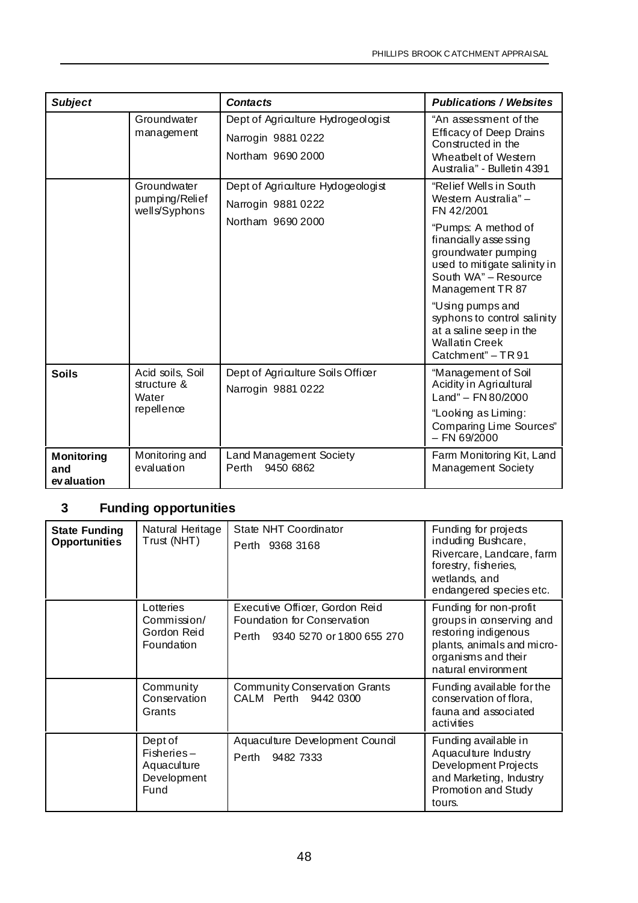| <b>Subject</b>                          |                                                | <b>Contacts</b>                                                               | <b>Publications / Websites</b>                                                                                                      |
|-----------------------------------------|------------------------------------------------|-------------------------------------------------------------------------------|-------------------------------------------------------------------------------------------------------------------------------------|
|                                         | Groundwater<br>management                      | Dept of Agriculture Hydrogeologist<br>Narrogin 9881 0222<br>Northam 9690 2000 | "An assessment of the<br><b>Efficacy of Deep Drains</b><br>Constructed in the<br>Wheatbelt of Western<br>Australia" - Bulletin 4391 |
|                                         | Groundwater<br>pumping/Relief<br>wells/Syphons | Dept of Agriculture Hydogeologist<br>Narrogin 9881 0222<br>Northam 9690 2000  | "Relief Wells in South<br>Western Australia"-<br>FN 42/2001<br>"Pumps: A method of<br>financially assessing                         |
|                                         |                                                |                                                                               | groundwater pumping<br>used to mitigate salinity in<br>South WA" - Resource<br>Management TR 87                                     |
|                                         |                                                |                                                                               | "Using pumps and<br>syphons to control salinity<br>at a saline seep in the<br><b>Wallatin Creek</b><br>Catchment" - TR 91           |
| <b>Soils</b>                            | Acid soils, Soil<br>structure &<br>Water       | Dept of Agriculture Soils Officer<br>Narrogin 9881 0222                       | "Management of Soil<br>Acidity in Agricultural<br>Land" – FN 80/2000                                                                |
|                                         | repellence                                     |                                                                               | "Looking as Liming:<br>Comparing Lime Sources"<br>$-$ FN 69/2000                                                                    |
| <b>Monitoring</b><br>and<br>ev aluation | Monitoring and<br>evaluation                   | Land Management Society<br>9450 6862<br>Perth                                 | Farm Monitoring Kit, Land<br><b>Management Society</b>                                                                              |

## **3 Funding opportunities**

| <b>State Funding</b><br><b>Opportunities</b> | Natural Heritage<br>Trust (NHT)                               | State NHT Coordinator<br>Perth 9368 3168                                                         | Funding for projects<br>induding Bushcare,<br>Rivercare, Landcare, farm<br>forestry, fisheries,<br>wetlands, and<br>endangered species etc.            |
|----------------------------------------------|---------------------------------------------------------------|--------------------------------------------------------------------------------------------------|--------------------------------------------------------------------------------------------------------------------------------------------------------|
|                                              | Lotteries<br>Commission/<br>Gordon Reid<br>Foundation         | Executive Officer, Gordon Reid<br>Foundation for Conservation<br>Perth 9340 5270 or 1800 655 270 | Funding for non-profit<br>groups in conserving and<br>restoring indigenous<br>plants, animals and micro-<br>organisms and their<br>natural environment |
|                                              | Community<br>Conservation<br>Grants                           | <b>Community Conservation Grants</b><br>CALM Perth 9442 0300                                     | Funding available for the<br>conservation of flora,<br>fauna and associated<br>activities                                                              |
|                                              | Dept of<br>$Fisheries-$<br>Aquaculture<br>Development<br>Fund | Aquaculture Development Council<br>Perth 9482 7333                                               | Funding available in<br>Aquaculture Industry<br>Development Projects<br>and Marketing, Industry<br>Promotion and Study<br>tours.                       |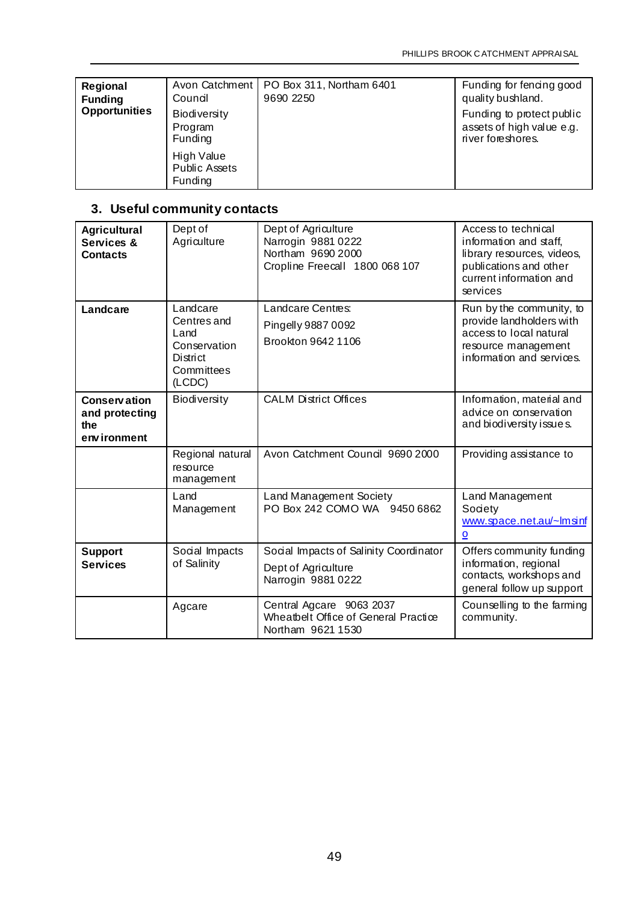| Regional<br><b>Funding</b><br><b>Opportunities</b> | Council<br><b>Biodiversity</b><br>Program<br>Funding | Avon Catchment   PO Box 311, Northam 6401<br>9690 2250 | Funding for fencing good<br>quality bushland.<br>Funding to protect public<br>assets of high value e.g.<br>river foreshores. |
|----------------------------------------------------|------------------------------------------------------|--------------------------------------------------------|------------------------------------------------------------------------------------------------------------------------------|
|                                                    | High Value<br><b>Public Assets</b><br>Funding        |                                                        |                                                                                                                              |

## **3. Useful community contacts**

| <b>Agricultural</b><br>Services &<br><b>Contacts</b>        | Dept of<br>Agriculture                                                              | Dept of Agriculture<br>Narrogin 9881 0222<br>Northam 9690 2000<br>Cropline Freecall 1800 068 107 | Access to technical<br>information and staff,<br>library resources, videos,<br>publications and other<br>current information and<br>services |
|-------------------------------------------------------------|-------------------------------------------------------------------------------------|--------------------------------------------------------------------------------------------------|----------------------------------------------------------------------------------------------------------------------------------------------|
| Landcare                                                    | Landcare<br>Centres and<br>Land<br>Conservation<br>District<br>Committees<br>(LCDC) | Landcare Centres:<br>Pingelly 9887 0092<br>Brookton 9642 1106                                    | Run by the community, to<br>provide landholders with<br>access to local natural<br>resource management<br>information and services.          |
| <b>Conservation</b><br>and protecting<br>the<br>environment | Biodiversity                                                                        | <b>CALM District Offices</b>                                                                     | Information, material and<br>advice on conservation<br>and biodiversity issues.                                                              |
|                                                             | Regional natural<br>resource<br>management                                          | Avon Catchment Council 9690 2000                                                                 | Providing assistance to                                                                                                                      |
|                                                             | Land<br>Management                                                                  | Land Management Society<br>PO Box 242 COMO WA 9450 6862                                          | Land Management<br>Society<br>www.space.net.au/~lmsinf<br>$\overline{\mathbf{o}}$                                                            |
| <b>Support</b><br><b>Services</b>                           | Social Impacts<br>of Salinity                                                       | Social Impacts of Salinity Coordinator<br>Dept of Agriculture<br>Narrogin 9881 0222              | Offers community funding<br>information, regional<br>contacts, workshops and<br>general follow up support                                    |
|                                                             | Agcare                                                                              | Central Agcare 9063 2037<br>Wheatbelt Office of General Practice<br>Northam 9621 1530            | Counselling to the farming<br>community.                                                                                                     |